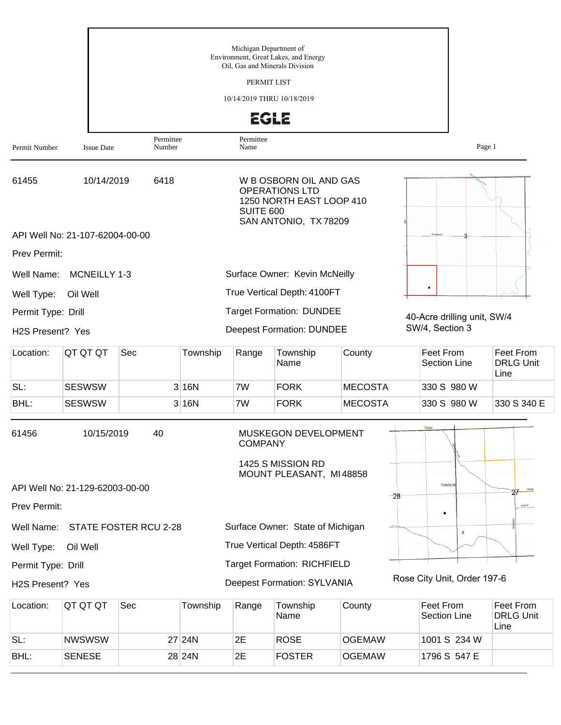|                                  |                                 |                       |          | Michigan Department of<br>Oil, Gas and Minerals Division | Environment, Great Lakes, and Energy                                                                 |                |                                  |                                              |
|----------------------------------|---------------------------------|-----------------------|----------|----------------------------------------------------------|------------------------------------------------------------------------------------------------------|----------------|----------------------------------|----------------------------------------------|
|                                  |                                 |                       |          | PERMIT LIST                                              |                                                                                                      |                |                                  |                                              |
|                                  |                                 |                       |          | 10/14/2019 THRU 10/18/2019                               |                                                                                                      |                |                                  |                                              |
|                                  |                                 |                       |          | <b>EGLE</b>                                              |                                                                                                      |                |                                  |                                              |
| Permit Number                    | <b>Issue Date</b>               | Permittee<br>Number   |          | Permittee<br>Name                                        |                                                                                                      |                | Page 1                           |                                              |
| 61455                            | 10/14/2019                      | 6418                  |          | <b>SUITE 600</b>                                         | W B OSBORN OIL AND GAS<br><b>OPERATIONS LTD</b><br>1250 NORTH EAST LOOP 410<br>SAN ANTONIO, TX 78209 |                |                                  |                                              |
|                                  | API Well No: 21-107-62004-00-00 |                       |          |                                                          |                                                                                                      |                |                                  |                                              |
| Prev Permit:                     |                                 |                       |          |                                                          |                                                                                                      |                |                                  |                                              |
| Well Name:                       | MCNEILLY 1-3                    |                       |          |                                                          | Surface Owner: Kevin McNeilly                                                                        |                |                                  |                                              |
| Well Type:                       | Oil Well                        |                       |          |                                                          | True Vertical Depth: 4100FT                                                                          |                |                                  |                                              |
| Permit Type: Drill               |                                 |                       |          |                                                          | <b>Target Formation: DUNDEE</b>                                                                      |                | 40-Acre drilling unit, SW/4      |                                              |
| H2S Present? Yes                 |                                 |                       |          |                                                          | <b>Deepest Formation: DUNDEE</b>                                                                     |                | SW/4, Section 3                  |                                              |
| Location:                        | QT QT QT                        | Sec                   | Township | Range                                                    | Township<br>Name                                                                                     | County         | Feet From<br><b>Section Line</b> | <b>Feet From</b><br><b>DRLG Unit</b><br>Line |
| SL:                              | <b>SESWSW</b>                   |                       | 3 16N    | 7W                                                       | <b>FORK</b>                                                                                          | <b>MECOSTA</b> | 330 S 980 W                      |                                              |
| BHL:                             | <b>SESWSW</b>                   |                       | 3 16N    | 7W                                                       | <b>FORK</b>                                                                                          | <b>MECOSTA</b> | 330 S 980 W                      | 330 S 340 E                                  |
| 61456                            | 10/15/2019                      | 40                    |          | <b>COMPANY</b>                                           | MUSKEGON DEVELOPMENT<br>1425 S MISSION RD                                                            |                |                                  |                                              |
|                                  | API Well No: 21-129-62003-00-00 |                       |          |                                                          | MOUNT PLEASANT, MI48858                                                                              |                | <b>T24NR02E</b>                  |                                              |
| Prev Permit:                     |                                 |                       |          |                                                          |                                                                                                      | $-28$          |                                  | Lorenz                                       |
| Well Name:                       |                                 | STATE FOSTER RCU 2-28 |          |                                                          | Surface Owner: State of Michigan                                                                     |                |                                  |                                              |
|                                  |                                 |                       |          |                                                          | True Vertical Depth: 4586FT                                                                          |                | $\mathsf{x}$                     |                                              |
| Well Type:<br>Permit Type: Drill | Oil Well                        |                       |          |                                                          | <b>Target Formation: RICHFIELD</b>                                                                   |                |                                  |                                              |
| H2S Present? Yes                 |                                 |                       |          |                                                          | <b>Deepest Formation: SYLVANIA</b>                                                                   |                | Rose City Unit, Order 197-6      |                                              |
| Location:                        | QT QT QT                        | Sec                   | Township | Range                                                    | Township<br>Name                                                                                     | County         | Feet From<br>Section Line        | Feet From<br><b>DRLG Unit</b><br>Line        |

SL: NWSWSW 27 24N 2E ROSE OGEMAW 1001 S 234 W BHL: SENESE 28 24N 2E FOSTER OGEMAW 1796 S 547 E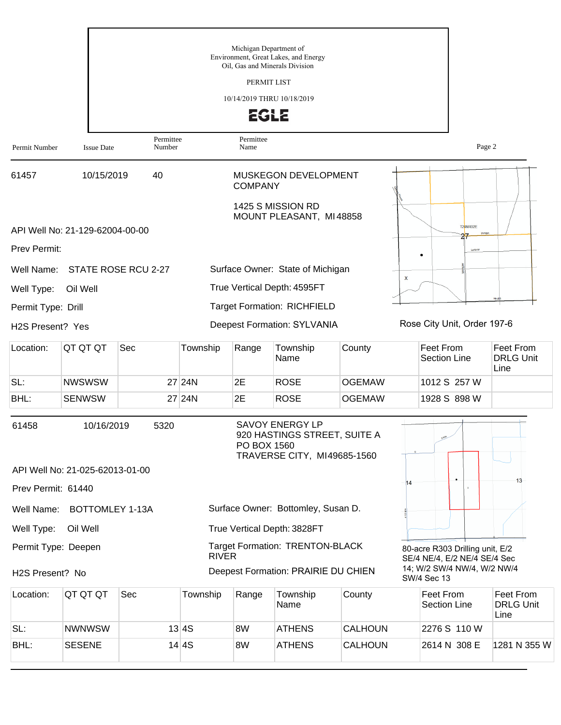|                    |                                 |                     |              |                   | Michigan Department of<br>Environment, Great Lakes, and Energy<br>Oil, Gas and Minerals Division |                |    |                                                                 |                                       |
|--------------------|---------------------------------|---------------------|--------------|-------------------|--------------------------------------------------------------------------------------------------|----------------|----|-----------------------------------------------------------------|---------------------------------------|
|                    |                                 |                     |              |                   | PERMIT LIST                                                                                      |                |    |                                                                 |                                       |
|                    |                                 |                     |              |                   | 10/14/2019 THRU 10/18/2019                                                                       |                |    |                                                                 |                                       |
|                    |                                 |                     |              |                   | <b>EGLE</b>                                                                                      |                |    |                                                                 |                                       |
| Permit Number      | <b>Issue Date</b>               | Permittee<br>Number |              | Permittee<br>Name |                                                                                                  |                |    | Page 2                                                          |                                       |
| 61457              | 10/15/2019                      | 40                  |              | <b>COMPANY</b>    | MUSKEGON DEVELOPMENT                                                                             |                |    |                                                                 |                                       |
|                    |                                 |                     |              |                   | 1425 S MISSION RD<br>MOUNT PLEASANT, MI48858                                                     |                |    |                                                                 |                                       |
|                    | API Well No: 21-129-62004-00-00 |                     |              |                   |                                                                                                  |                |    | <b>T24NR02E</b>                                                 |                                       |
| Prev Permit:       |                                 |                     |              |                   |                                                                                                  |                |    | Lorenz                                                          |                                       |
| Well Name:         |                                 | STATE ROSE RCU 2-27 |              |                   | Surface Owner: State of Michigan                                                                 |                |    |                                                                 |                                       |
| Well Type:         | Oil Well                        |                     |              |                   | True Vertical Depth: 4595FT                                                                      |                | x  |                                                                 |                                       |
| Permit Type: Drill |                                 |                     |              |                   | <b>Target Formation: RICHFIELD</b>                                                               |                |    |                                                                 | Heat                                  |
| H2S Present? Yes   |                                 |                     |              |                   | <b>Deepest Formation: SYLVANIA</b>                                                               |                |    | Rose City Unit, Order 197-6                                     |                                       |
| Location:          | QT QT QT                        | Sec                 | Township     | Range             | Township<br>Name                                                                                 | County         |    | Feet From<br><b>Section Line</b>                                | Feet From<br><b>DRLG Unit</b><br>Line |
| SL:                | <b>NWSWSW</b>                   |                     | 27 24N       | 2E                | <b>ROSE</b>                                                                                      | <b>OGEMAW</b>  |    | 1012 S 257 W                                                    |                                       |
| BHL:               | <b>SENWSW</b>                   |                     | 27 24N       | 2E                | <b>ROSE</b>                                                                                      | <b>OGEMAW</b>  |    | 1928 S 898 W                                                    |                                       |
| 61458              | 10/16/2019                      | 5320                |              | PO BOX 1560       | <b>SAVOY ENERGY LP</b><br>920 HASTINGS STREET, SUITE A<br>TRAVERSE CITY, MI49685-1560            |                |    |                                                                 |                                       |
|                    | API Well No: 21-025-62013-01-00 |                     |              |                   |                                                                                                  |                |    |                                                                 |                                       |
| Prev Permit: 61440 |                                 |                     |              |                   |                                                                                                  |                | 14 |                                                                 | 13                                    |
| Well Name:         | <b>BOTTOMLEY 1-13A</b>          |                     |              |                   | Surface Owner: Bottomley, Susan D.                                                               |                |    |                                                                 |                                       |
| Well Type:         | Oil Well                        |                     |              |                   | True Vertical Depth: 3828FT                                                                      |                |    |                                                                 |                                       |
|                    | Permit Type: Deepen             |                     | <b>RIVER</b> |                   | <b>Target Formation: TRENTON-BLACK</b>                                                           |                |    | 80-acre R303 Drilling unit, E/2<br>SE/4 NE/4, E/2 NE/4 SE/4 Sec |                                       |
| H2S Present? No    |                                 |                     |              |                   | Deepest Formation: PRAIRIE DU CHIEN                                                              |                |    | 14; W/2 SW/4 NW/4, W/2 NW/4<br>SW/4 Sec 13                      |                                       |
|                    | $\Delta T \Delta T \Delta T$    | $C_{\Omega}$        | Townobin     | $D_{\text{onon}}$ | Townobin                                                                                         | $C_{\text{O}}$ |    | Cont From                                                       | $E_{\text{out}}$ Erom                 |

| Location: | IQT QT QT     | Sec | Township | Range | Township<br>Name | County         | Feet From<br>Section Line | Feet From<br><b>DRLG Unit</b><br>Line |
|-----------|---------------|-----|----------|-------|------------------|----------------|---------------------------|---------------------------------------|
| SL:       | <b>NWNWSW</b> |     | 13 4S    | 8W    | <b>ATHENS</b>    | <b>CALHOUN</b> | 2276 S 110 W              |                                       |
| BHL:      | <b>SESENE</b> |     | 14 4 S   | 8W    | <b>ATHENS</b>    | <b>CALHOUN</b> | 2614 N 308 E              | 1281 N 355 W                          |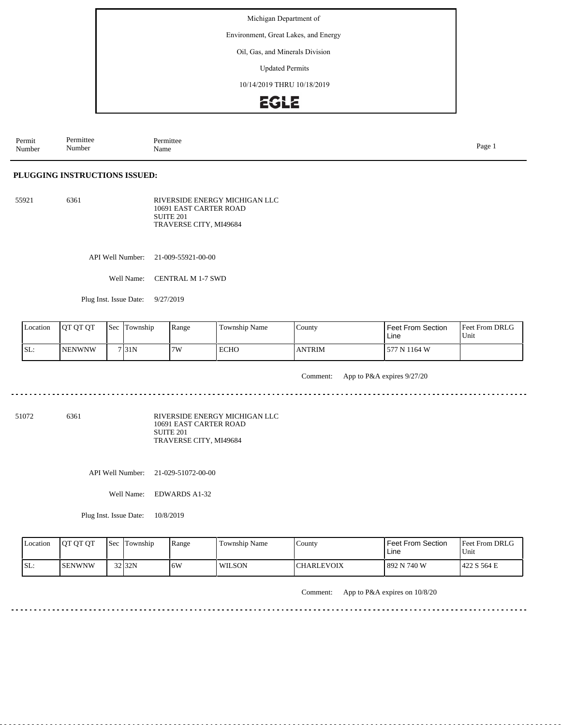Environment, Great Lakes, and Energy

Oil, Gas, and Minerals Division

Updated Permits

10/14/2019 THRU 10/18/2019

## **EGLE**

Permit Number Permittee Number Permittee<br>Name Name Page 1

#### **PLUGGING INSTRUCTIONS ISSUED:**

55921 6361 RIVERSIDE ENERGY MICHIGAN LLC 10691 EAST CARTER ROAD SUITE 201 TRAVERSE CITY, MI49684

API Well Number: 21-009-55921-00-00

Well Name: CENTRAL M 1-7 SWD

Plug Inst. Issue Date: 9/27/2019

| Location | <b>JOT OT OT</b> | <b>Sec</b> | lm<br>Township | Range | Township Name | County        | <b>Feet From Section</b><br>Line | <b>Feet From DRLG</b><br>Unit |
|----------|------------------|------------|----------------|-------|---------------|---------------|----------------------------------|-------------------------------|
| SL:      | <b>NENWNW</b>    |            | 7 31N          | 7W    | <b>ECHO</b>   | <b>ANTRIM</b> | 577 N 1164 W                     |                               |

Comment: App to P&A expires 9/27/20

51072 6361

RIVERSIDE ENERGY MICHIGAN LLC 10691 EAST CARTER ROAD SUITE 201 TRAVERSE CITY, MI49684

API Well Number: 21-029-51072-00-00

Well Name: EDWARDS A1-32

Plug Inst. Issue Date: 10/8/2019

| Location | <b>OT OT OT</b> | <b>Sec</b> Township | Range | Township Name | County            | Feet From Section<br>Line | <b>Feet From DRLG</b><br>Unit |
|----------|-----------------|---------------------|-------|---------------|-------------------|---------------------------|-------------------------------|
| ISL:     | <b>ISENWNW</b>  | $32$ 32N            | .6W   | WILSON        | <b>CHARLEVOIX</b> | 1892 N 740 W              | 1422 S 564 E                  |

Comment: App to P&A expires on 10/8/20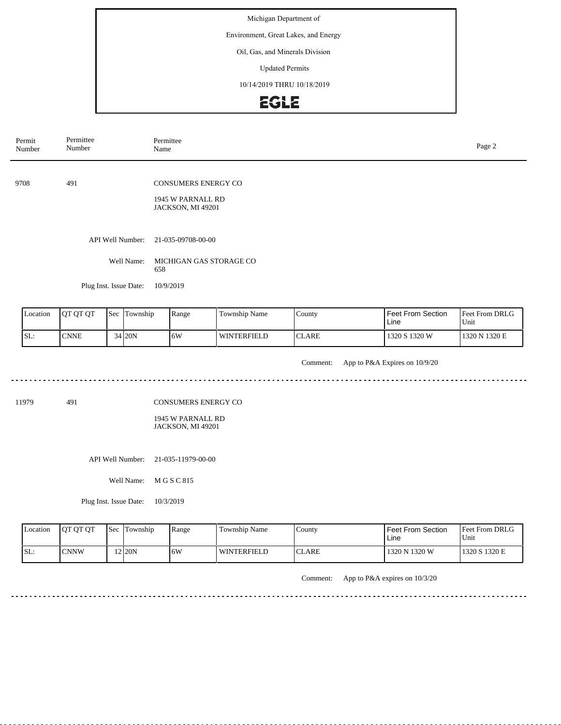Environment, Great Lakes, and Energy

## Oil, Gas, and Minerals Division

Updated Permits

10/14/2019 THRU 10/18/2019

# **EGLE**

| Permit<br>Number | Permittee<br>Number                  | Permittee<br>Name                            |                          |                   |  |  |  |  |
|------------------|--------------------------------------|----------------------------------------------|--------------------------|-------------------|--|--|--|--|
|                  |                                      |                                              |                          |                   |  |  |  |  |
| 9708             | 491                                  | <b>CONSUMERS ENERGY CO</b>                   |                          |                   |  |  |  |  |
|                  |                                      | 1945 W PARNALL RD<br>JACKSON, MI 49201       |                          |                   |  |  |  |  |
|                  |                                      |                                              |                          |                   |  |  |  |  |
|                  | API Well Number:                     | 21-035-09708-00-00                           |                          |                   |  |  |  |  |
|                  | Well Name:                           | MICHIGAN GAS STORAGE CO<br>658               |                          |                   |  |  |  |  |
|                  | Plug Inst. Issue Date:               | 10/9/2019                                    |                          |                   |  |  |  |  |
|                  |                                      |                                              |                          |                   |  |  |  |  |
| Location         | $\mathsf{I}$ Sec Township<br>Ιοτοτοτ | Township Name<br>$C_{\text{Ountv}}$<br>Range | <b>Feet From Section</b> | $Fpet$ From DRI G |  |  |  |  |

| <b>L</b> ocation | <b>JOT OT OT</b> | <b>Sec</b> Township | Range | Township Name | County | <b>I</b> Feet From Section<br>Line | <b>Feet From DRLG</b><br>Unit |
|------------------|------------------|---------------------|-------|---------------|--------|------------------------------------|-------------------------------|
| SL:              | <b>CNNE</b>      | 34 20N              | .6W   | l winterfield | CLARE  | 1320 S 1320 W                      | 1320 N 1320 E                 |

Comment: App to P&A Expires on 10/9/20

<u>. . . . . . . . . . . . .</u>

11979 491

CONSUMERS ENERGY CO

1945 W PARNALL RD JACKSON, MI 49201

API Well Number: 21-035-11979-00-00

Well Name: M G S C 815

Plug Inst. Issue Date: 10/3/2019

| Location | <b>IOT OT OT</b> | <b>Sec</b> Township | Range | Township Name      | County        | <b>Feet From Section</b><br>Line | <b>Feet From DRLG</b><br>Unit |
|----------|------------------|---------------------|-------|--------------------|---------------|----------------------------------|-------------------------------|
| ISL:     | ICNNW            | $2$ 20N             | 16W   | <b>WINTERFIELD</b> | <b>ICLARE</b> | 1320 N 1320 W                    | 1320 S 1320 E                 |

Comment: App to P&A expires on 10/3/20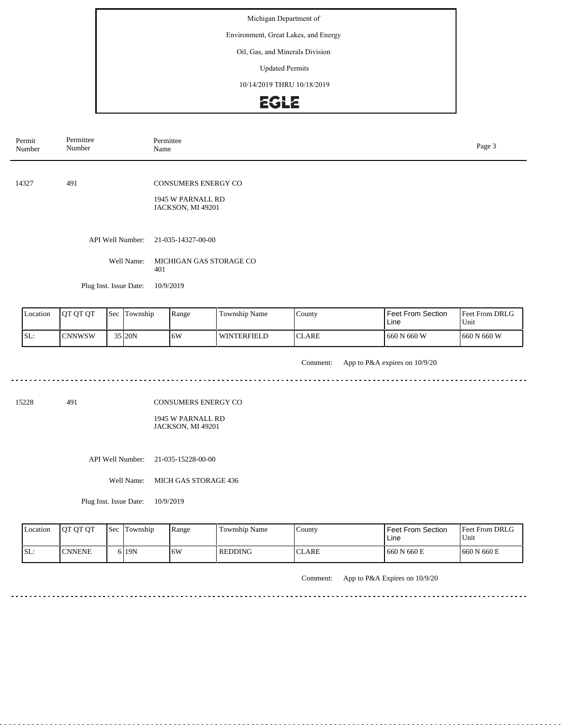Environment, Great Lakes, and Energy

## Oil, Gas, and Minerals Division

Updated Permits

10/14/2019 THRU 10/18/2019

# **EGLE**

| Permit<br>Number |          | Permittee<br>Number    |  |              | Permittee<br>Name                                                    |               |        |                           |                        |  |  |
|------------------|----------|------------------------|--|--------------|----------------------------------------------------------------------|---------------|--------|---------------------------|------------------------|--|--|
| 14327            |          | 491                    |  |              | <b>CONSUMERS ENERGY CO</b><br>1945 W PARNALL RD<br>JACKSON, MI 49201 |               |        |                           |                        |  |  |
|                  |          | API Well Number:       |  |              | 21-035-14327-00-00                                                   |               |        |                           |                        |  |  |
|                  |          | Well Name:             |  | 401          | MICHIGAN GAS STORAGE CO                                              |               |        |                           |                        |  |  |
|                  |          | Plug Inst. Issue Date: |  |              | 10/9/2019                                                            |               |        |                           |                        |  |  |
|                  | Location | QT QT QT               |  | Sec Township | Range                                                                | Township Name | County | Feet From Section<br>Line | Feet From DRLG<br>Unit |  |  |

| Location | <b>IOT OT OT</b> | <b>Sec</b> | Township | Range | Township Name | County       | l Feet From Section<br>Line | <b>Feet From DRLG</b><br>Unit |
|----------|------------------|------------|----------|-------|---------------|--------------|-----------------------------|-------------------------------|
| SL:      | <b>CNNWSW</b>    |            | 35 I20N  | 16W   | WINTERFIELD   | <b>CLARE</b> | 660 N 660 W                 | 660 N 660 W                   |

Comment: App to P&A expires on 10/9/20

15228 491

CONSUMERS ENERGY CO

1945 W PARNALL RD JACKSON, MI 49201

API Well Number: 21-035-15228-00-00

Well Name: MICH GAS STORAGE 436

Plug Inst. Issue Date: 10/9/2019

| Location | <b>OT OT OT</b> | <b>Sec Township</b> | Range | Township Name  | County       | <b>Feet From Section</b><br>Line | <b>Feet From DRLG</b><br>Unit |
|----------|-----------------|---------------------|-------|----------------|--------------|----------------------------------|-------------------------------|
| ISL:     | <b>ICNNENE</b>  | 6 19N               | 6W    | <b>REDDING</b> | <b>CLARE</b> | 660 N 660 E                      | 660 N 660 E                   |

Comment: App to P&A Expires on 10/9/20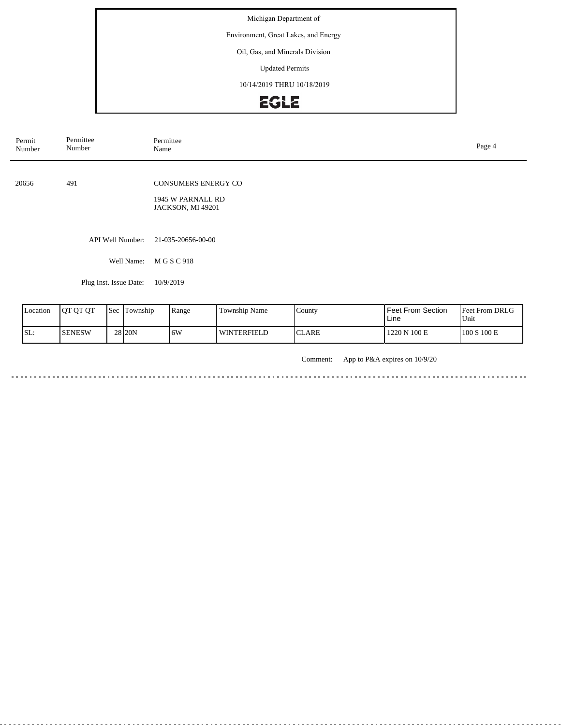Environment, Great Lakes, and Energy

### Oil, Gas, and Minerals Division

Updated Permits

10/14/2019 THRU 10/18/2019

# EGLE

| Permit<br>Number | Permittee<br>Number    | Permittee<br>Name                                             | Page 4 |
|------------------|------------------------|---------------------------------------------------------------|--------|
| 20656            | 491                    | CONSUMERS ENERGY CO<br>1945 W PARNALL RD<br>JACKSON, MI 49201 |        |
|                  | API Well Number:       | 21-035-20656-00-00                                            |        |
|                  | Well Name:             | M G S C 918                                                   |        |
|                  | Plug Inst. Issue Date: | 10/9/2019                                                     |        |

| Location | <b>OT OT OT</b> | <b>Sec</b> | Township | Range | <b>Township Name</b> | County          | <b>Feet From Section</b><br>Line | <b>Feet From DRLG</b><br>Unit |
|----------|-----------------|------------|----------|-------|----------------------|-----------------|----------------------------------|-------------------------------|
| SL:      | <b>SENESW</b>   |            | 28 20N   | 6W    | l winterfield        | $\cap$<br>CLARE | 1220 N 100 E                     | 100 S 100 E                   |

Comment: App to P&A expires on 10/9/20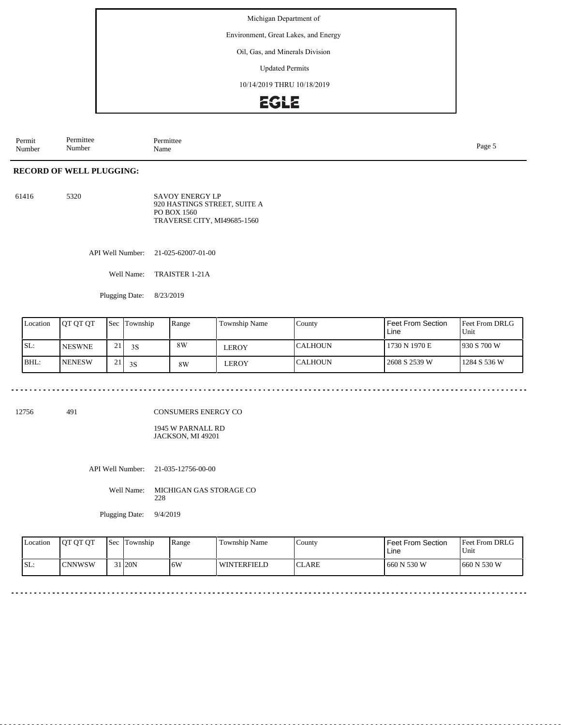Environment, Great Lakes, and Energy

Oil, Gas, and Minerals Division

Updated Permits

10/14/2019 THRU 10/18/2019

# **EGLE**

Permit Number Permittee Number Permittee<br>Name Page 5<br>Name

#### **RECORD OF WELL PLUGGING:**

61416 5320 SAVOY ENERGY LP 920 HASTINGS STREET, SUITE A PO BOX 1560 TRAVERSE CITY, MI49685-1560

API Well Number: 21-025-62007-01-00

Well Name: TRAISTER 1-21A

Plugging Date: 8/23/2019

| Location | <b>JOT OT OT</b> | Sec            | Township | Range | <b>Township Name</b> | County          | <b>Feet From Section</b><br>Line | <b>IFeet From DRLG</b><br>Unit |
|----------|------------------|----------------|----------|-------|----------------------|-----------------|----------------------------------|--------------------------------|
| ISL:     | <b>NESWNE</b>    | ∼.             | 3S       | 8W    | EROY                 | ICALHOUN        | 1730 N 1970 E                    | 1930 S 700 W                   |
| IBHL:    | <b>INENESW</b>   | $^{\sim}$<br>∸ | 3S       | 8W    | LEROY                | <b>ICALHOUN</b> | 2608 S 2539 W                    | 1284 S 536 W                   |

12756 491

CONSUMERS ENERGY CO

1945 W PARNALL RD JACKSON, MI 49201

API Well Number: 21-035-12756-00-00

Well Name: MICHIGAN GAS STORAGE CO 228

Plugging Date: 9/4/2019

| Location | <b>IOT OT OT</b> | <b>Sec</b> | Township            | Range | Township Name | County | <b>Feet From Section</b><br>Line | <b>Feet From DRLG</b><br>'Unit |
|----------|------------------|------------|---------------------|-------|---------------|--------|----------------------------------|--------------------------------|
| SL:      | ICNNWSW          |            | 31 <sub>120</sub> N | 16W   | WINTERFIELD   | ICLARE | 660 N 530 W                      | 660 N 530 W                    |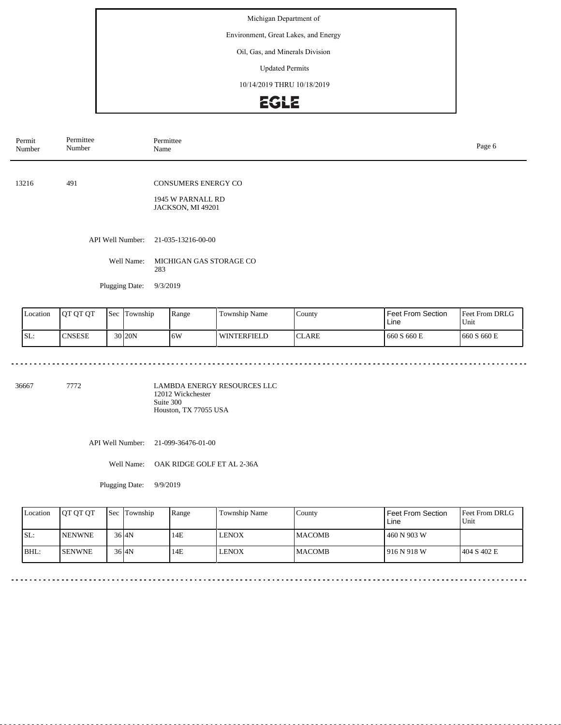Environment, Great Lakes, and Energy

### Oil, Gas, and Minerals Division

Updated Permits

10/14/2019 THRU 10/18/2019

# EGLE

| Permit<br>Number | Permittee<br>Number | Permittee<br>Name                      | Page 6 |
|------------------|---------------------|----------------------------------------|--------|
|                  |                     |                                        |        |
| 13216            | 491                 | <b>CONSUMERS ENERGY CO</b>             |        |
|                  |                     | 1945 W PARNALL RD<br>JACKSON, MI 49201 |        |
|                  |                     |                                        |        |
|                  | API Well Number:    | 21-035-13216-00-00                     |        |
|                  | Well Name:          | MICHIGAN GAS STORAGE CO<br>283         |        |
|                  | Plugging Date:      | 9/3/2019                               |        |
|                  |                     |                                        |        |

| Location | <b>IOT OT OT</b> | 'Sec | Township            | Range | Township Name      | County                   | Feet From Section<br>Line | <b>Feet From DRLG</b><br>Unit |
|----------|------------------|------|---------------------|-------|--------------------|--------------------------|---------------------------|-------------------------------|
| SL:      | CNSESE           |      | 30 <sub>120</sub> N | .6W   | <b>WINTERFIELD</b> | $\cap$ T<br><b>CLARE</b> | 660 S 660 E               | 660 S 660 E                   |

36667 7772

LAMBDA ENERGY RESOURCES LLC 12012 Wickchester Suite 300 Houston, TX 77055 USA

API Well Number: 21-099-36476-01-00

Well Name: OAK RIDGE GOLF ET AL 2-36A

Plugging Date: 9/9/2019

| Location | <b>IOT OT OT</b> | <b>Sec Township</b> | Range | Township Name | County         | Feet From Section<br>Line | <b>Feet From DRLG</b><br>Unit |
|----------|------------------|---------------------|-------|---------------|----------------|---------------------------|-------------------------------|
| ISL:     | <b>INENWNE</b>   | $36$ $4N$           | 14E   | <b>LENOX</b>  | <b>IMACOMB</b> | 460 N 903 W               |                               |
| BHL:     | <b>ISENWNE</b>   | $36$ $4N$           | 14E   | <b>LENOX</b>  | <b>IMACOMB</b> | 1916 N 918 W              | 1404 S 402 E                  |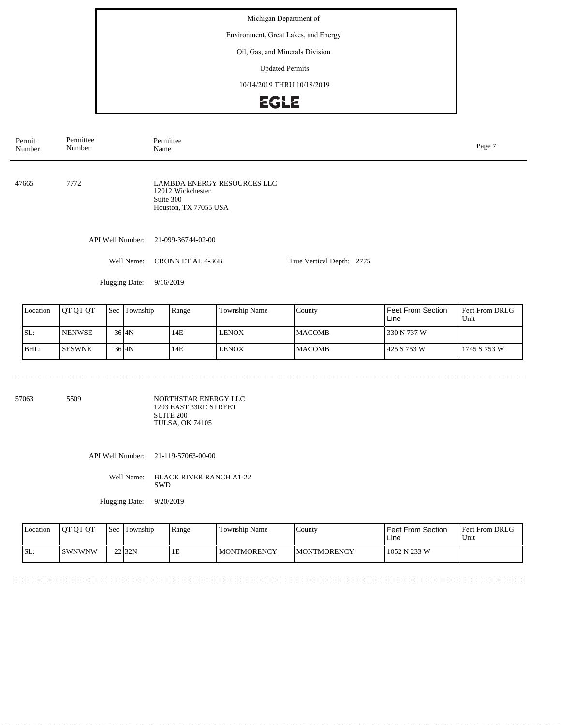Environment, Great Lakes, and Energy

#### Oil, Gas, and Minerals Division

Updated Permits

10/14/2019 THRU 10/18/2019

# **EGLE**

| Permit<br>Number | Permittee<br>Number | Permittee<br>Name                                                                             |                           |  |  |  |  |
|------------------|---------------------|-----------------------------------------------------------------------------------------------|---------------------------|--|--|--|--|
| 47665            | 7772                | <b>LAMBDA ENERGY RESOURCES LLC</b><br>12012 Wickchester<br>Suite 300<br>Houston, TX 77055 USA |                           |  |  |  |  |
|                  | API Well Number:    | 21-099-36744-02-00                                                                            |                           |  |  |  |  |
|                  | Well Name:          | CRONN ET AL 4-36B                                                                             | True Vertical Depth: 2775 |  |  |  |  |
|                  | Plugging Date:      | 9/16/2019                                                                                     |                           |  |  |  |  |

| Location | <b>JOT OT OT</b> | Sec | Township          | Range | <b>Township Name</b> | County         | Feet From Section<br>Line | <b>Feet From DRLG</b><br>Unit |
|----------|------------------|-----|-------------------|-------|----------------------|----------------|---------------------------|-------------------------------|
| SL:      | <b>INENWSE</b>   |     | 36 <sub>I4N</sub> | 14E   | <b>LENOX</b>         | <b>IMACOMB</b> | 330 N 737 W               |                               |
| BHL:     | <b>ISESWNE</b>   |     | 36 <sub>I4N</sub> | 14E   | <b>LENOX</b>         | <b>IMACOMB</b> | 425 S 753 W               | 11745 S 753 W                 |

57063 5509

NORTHSTAR ENERGY LLC 1203 EAST 33RD STREET SUITE 200 TULSA, OK 74105

API Well Number: 21-119-57063-00-00

Well Name: BLACK RIVER RANCH A1-22 SWD

Plugging Date: 9/20/2019

| <b>Location</b> | <b>OT OT OT</b> | l Sec | Township | Range | <b>Township Name</b> | County              | <b>Feet From Section</b><br>Line | <b>Feet From DRLG</b><br>l Unit |
|-----------------|-----------------|-------|----------|-------|----------------------|---------------------|----------------------------------|---------------------------------|
| SL:             | ISWNWNW         |       | 22 32N   | 1E    | <b>MONTMORENCY</b>   | <b>IMONTMORENCY</b> | 1052 N 233 W                     |                                 |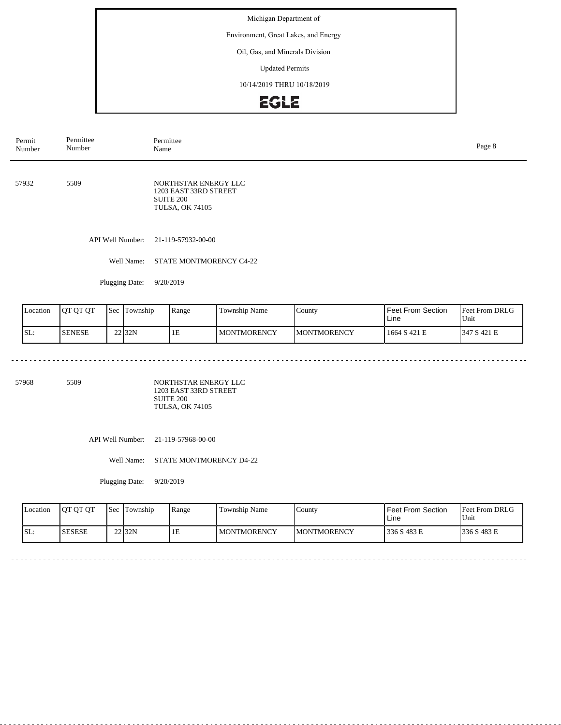Environment, Great Lakes, and Energy

## Oil, Gas, and Minerals Division

Updated Permits

10/14/2019 THRU 10/18/2019

# EGLE

| Permit<br>Number | Permittee<br>Number | Permittee<br>Name                                                                    | Page 8 |
|------------------|---------------------|--------------------------------------------------------------------------------------|--------|
| 57932            | 5509                | NORTHSTAR ENERGY LLC<br>1203 EAST 33RD STREET<br>SUITE 200<br><b>TULSA, OK 74105</b> |        |
|                  |                     | API Well Number: 21-119-57932-00-00                                                  |        |
|                  | Well Name:          | STATE MONTMORENCY C4-22                                                              |        |

Plugging Date: 9/20/2019

<u>. . . . . . . . .</u>

| Location | <b>OT OT OT</b> | <b>Sec</b> | Township | Range | <b>Township Name</b> | County              | <b>Feet From Section</b><br>Line | Feet From DRLG<br>Unit |
|----------|-----------------|------------|----------|-------|----------------------|---------------------|----------------------------------|------------------------|
| SL:      | <b>SENESE</b>   |            | 22 32N   | 1E    | <b>I MONTMORENCY</b> | <b>IMONTMORENCY</b> | 1664 S 421 E                     | 347 S 421 E            |

 $\sim$   $\sim$   $\sim$ 

 $\sim$   $\sim$ 

 $\sim$   $\sim$   $\sim$ 

 $\sim$   $\sim$  $\sim$   $\sim$   $\sim$   $\sim$   $\sim$ 

<u>a dida dida d</u>

57968 5509

NORTHSTAR ENERGY LLC 1203 EAST 33RD STREET SUITE 200 TULSA, OK 74105

API Well Number: 21-119-57968-00-00

Well Name: STATE MONTMORENCY D4-22

Plugging Date: 9/20/2019

| <b>Location</b> | <b>OT OT OT</b> | l Sec | Township | Range | Township Name      | County              | l Feet From Section<br>Line | Feet From DRLG<br>Unit |
|-----------------|-----------------|-------|----------|-------|--------------------|---------------------|-----------------------------|------------------------|
| SL:             | <b>SESESE</b>   |       | $22$ 32N | ПE    | <b>MONTMORENCY</b> | <b>IMONTMORENCY</b> | 336 S 483 E                 | 1336 S 483 E           |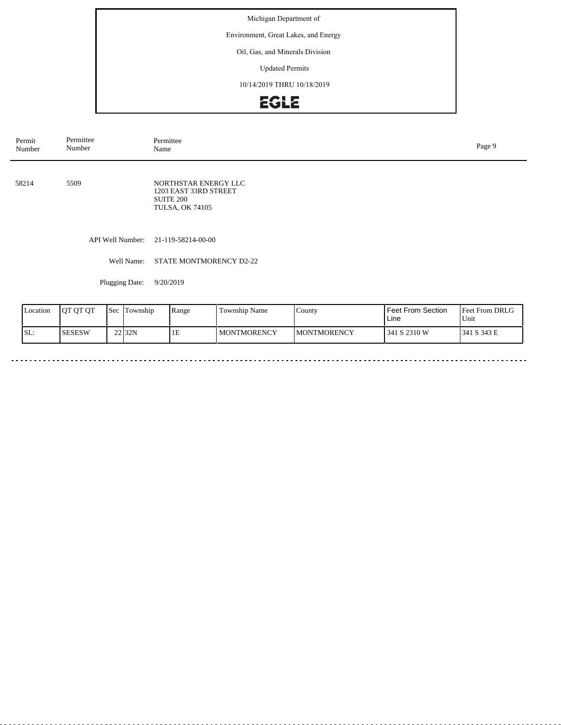Environment, Great Lakes, and Energy

### Oil, Gas, and Minerals Division

Updated Permits

10/14/2019 THRU 10/18/2019

# EGLE

| Permittee<br>Permit<br>Number<br>Number |                | Permittee<br>Page 9<br>Name                                                          |  |  |  |  |  |
|-----------------------------------------|----------------|--------------------------------------------------------------------------------------|--|--|--|--|--|
| 58214                                   | 5509           | NORTHSTAR ENERGY LLC<br>1203 EAST 33RD STREET<br>SUITE 200<br><b>TULSA, OK 74105</b> |  |  |  |  |  |
|                                         |                | API Well Number: 21-119-58214-00-00                                                  |  |  |  |  |  |
|                                         | Well Name:     | <b>STATE MONTMORENCY D2-22</b>                                                       |  |  |  |  |  |
|                                         | Plugging Date: | 9/20/2019                                                                            |  |  |  |  |  |

| Location | OT OT OT      | 'Sec | Township | Range | <b>Township Name</b> | $\frac{1}{2}$       | <b>Feet From Section</b><br>Line | <b>Feet From DRLG</b><br>Unit |
|----------|---------------|------|----------|-------|----------------------|---------------------|----------------------------------|-------------------------------|
| SL:      | <b>SESESW</b> |      | 22 32N   | 1E    | I MONTMORENCY        | <b>IMONTMORENCY</b> | 341 S 2310 W                     | 1341 S 343 E                  |

 $\sim$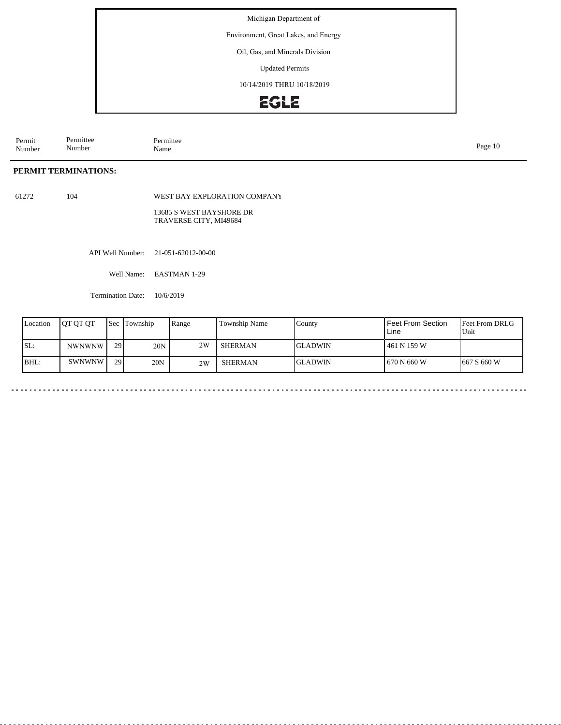Environment, Great Lakes, and Energy

Oil, Gas, and Minerals Division

Updated Permits

10/14/2019 THRU 10/18/2019

# **EGLE**

Permit Number Permittee Number Permittee<br>Name Name Page 10

### **PERMIT TERMINATIONS:**

61272 104

WEST BAY EXPLORATION COMPANY

13685 S WEST BAYSHORE DR TRAVERSE CITY, MI49684

API Well Number: 21-051-62012-00-00

Well Name: EASTMAN 1-29

Termination Date: 10/6/2019

| Location | <b>IOT OT OT</b> | Sec             | Township | Range | Township Name | County          | <b>Feet From Section</b><br>Line | <b>Feet From DRLG</b><br>Unit |
|----------|------------------|-----------------|----------|-------|---------------|-----------------|----------------------------------|-------------------------------|
| SL:      | <b>NWNWNW</b>    | 29 <sup> </sup> | 20N      | 2W    | SHERMAN       | IGLADWIN        | 461 N 159 W                      |                               |
| BHL:     | <b>SWNWNW</b>    | 29              | 20N      | 2W    | SHERMAN       | <b>IGLADWIN</b> | 670 N 660 W                      | $1667$ S 660 W                |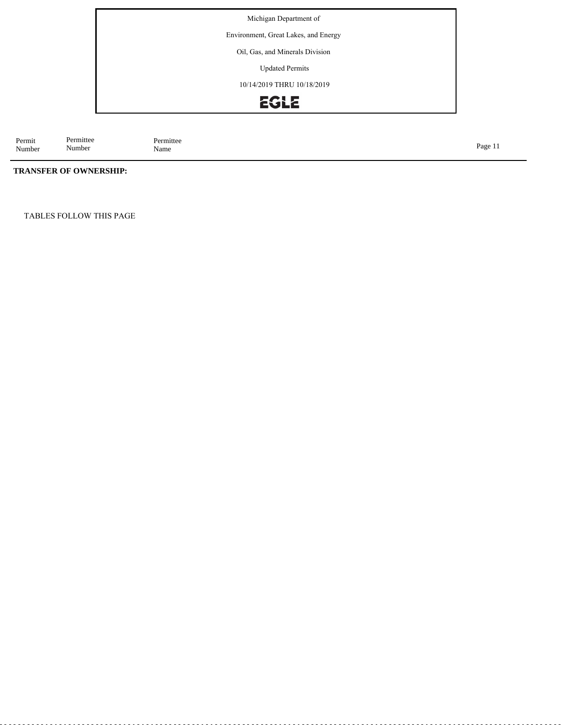Environment, Great Lakes, and Energy

Oil, Gas, and Minerals Division

Updated Permits

10/14/2019 THRU 10/18/2019

# EGLE

Permit Number Permittee<br>Name Name Page 11

### **TRANSFER OF OWNERSHIP:**

Permittee Number

TABLES FOLLOW THIS PAGE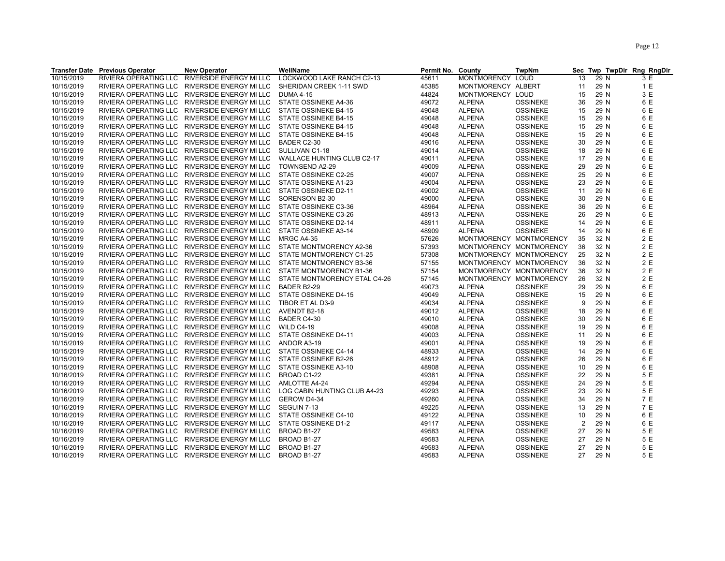| LOCKWOOD LAKE RANCH C2-13<br>RIVIERA OPERATING LLC<br><b>RIVERSIDE ENERGY MI LLC</b><br><b>MONTMORENCY</b><br>13<br>10/15/2019<br>45611<br><b>LOUD</b><br>29 N<br>3 E<br>10/15/2019<br>SHERIDAN CREEK 1-11 SWD<br>45385<br>MONTMORENCY ALBERT<br>29 N<br>1 E<br>RIVIERA OPERATING LLC RIVERSIDE ENERGY MI LLC<br>11<br>3 E<br>10/15/2019<br>RIVIERA OPERATING LLC RIVERSIDE ENERGY MI LLC<br><b>DUMA 4-15</b><br>44824<br>MONTMORENCY LOUD<br>15<br>29 N<br>6 E<br>10/15/2019<br>RIVIERA OPERATING LLC RIVERSIDE ENERGY MI LLC<br>STATE OSSINEKE A4-36<br>49072<br><b>ALPENA</b><br><b>OSSINEKE</b><br>36<br>29 N<br>6 E<br>10/15/2019<br><b>ALPENA</b><br>29 N<br>RIVIERA OPERATING LLC RIVERSIDE ENERGY MI LLC<br>STATE OSSINEKE B4-15<br>49048<br><b>OSSINEKE</b><br>15<br>6 E<br>10/15/2019<br>RIVIERA OPERATING LLC RIVERSIDE ENERGY MI LLC<br>STATE OSSINEKE B4-15<br>49048<br><b>ALPENA</b><br><b>OSSINEKE</b><br>15<br>29 N<br>6 E<br>10/15/2019<br><b>OSSINEKE</b><br>29 N<br>RIVIERA OPERATING LLC RIVERSIDE ENERGY MI LLC<br>STATE OSSINEKE B4-15<br>49048<br><b>ALPENA</b><br>15<br>6 E<br>10/15/2019<br>RIVIERA OPERATING LLC RIVERSIDE ENERGY MI LLC<br>49048<br><b>OSSINEKE</b><br>29 N<br>STATE OSSINEKE B4-15<br><b>ALPENA</b><br>15<br>6 E<br>10/15/2019<br>RIVIERA OPERATING LLC RIVERSIDE ENERGY MI LLC<br>BADER C2-30<br>49016<br><b>ALPENA</b><br><b>OSSINEKE</b><br>30<br>29 N<br>6 E<br>10/15/2019<br>RIVIERA OPERATING LLC RIVERSIDE ENERGY MI LLC<br>SULLIVAN C1-18<br>49014<br><b>OSSINEKE</b><br>18<br>29 N<br><b>ALPENA</b><br>6 E<br>10/15/2019<br>RIVIERA OPERATING LLC RIVERSIDE ENERGY MI LLC<br>49011<br><b>ALPENA</b><br><b>OSSINEKE</b><br>17<br>29 N<br>WALLACE HUNTING CLUB C2-17<br>6 E<br>10/15/2019<br>RIVIERA OPERATING LLC RIVERSIDE ENERGY MI LLC<br>TOWNSEND A2-29<br>49009<br><b>ALPENA</b><br><b>OSSINEKE</b><br>29<br>29 N<br>10/15/2019<br>6 E<br>RIVIERA OPERATING LLC RIVERSIDE ENERGY MI LLC<br>STATE OSSINEKE C2-25<br>49007<br><b>ALPENA</b><br><b>OSSINEKE</b><br>25<br>29 N<br>6 E<br>10/15/2019<br>RIVIERA OPERATING LLC RIVERSIDE ENERGY MI LLC<br>STATE OSSINEKE A1-23<br>49004<br><b>ALPENA</b><br><b>OSSINEKE</b><br>23<br>29 N<br>6 E<br>10/15/2019<br>RIVIERA OPERATING LLC RIVERSIDE ENERGY MI LLC<br>STATE OSSINEKE D2-11<br>49002<br><b>ALPENA</b><br><b>OSSINEKE</b><br>29 N<br>11<br>6 E<br>10/15/2019<br>RIVIERA OPERATING LLC RIVERSIDE ENERGY MI LLC<br>SORENSON B2-30<br>49000<br><b>ALPENA</b><br><b>OSSINEKE</b><br>30<br>29 N<br>6 E<br>10/15/2019<br>RIVIERA OPERATING LLC RIVERSIDE ENERGY MI LLC<br>STATE OSSINEKE C3-36<br>48964<br><b>ALPENA</b><br><b>OSSINEKE</b><br>36<br>29 N<br>6 E<br>10/15/2019<br>RIVIERA OPERATING LLC RIVERSIDE ENERGY MI LLC<br>STATE OSSINEKE C3-26<br>48913<br><b>ALPENA</b><br><b>OSSINEKE</b><br>26<br>29 N<br>6 E<br>10/15/2019<br>RIVIERA OPERATING LLC RIVERSIDE ENERGY MI LLC<br>STATE OSSINEKE D2-14<br>48911<br><b>ALPENA</b><br><b>OSSINEKE</b><br>14<br>29 N<br>6 E<br>10/15/2019<br><b>OSSINEKE</b><br>RIVIERA OPERATING LLC RIVERSIDE ENERGY MI LLC<br>STATE OSSINEKE A3-14<br>48909<br><b>ALPENA</b><br>14<br>29 N<br>2 E<br>57626<br>32 N<br>10/15/2019<br>RIVIERA OPERATING LLC RIVERSIDE ENERGY MI LLC<br><b>MRGC A4-35</b><br>MONTMORENCY MONTMORENCY<br>35<br>2 E<br>10/15/2019<br>RIVIERA OPERATING LLC RIVERSIDE ENERGY MI LLC<br>STATE MONTMORENCY A2-36<br>57393<br>MONTMORENCY MONTMORENCY<br>36<br>32 N<br>2 E<br>10/15/2019<br>57308<br>25<br>32 N<br>RIVIERA OPERATING LLC RIVERSIDE ENERGY MI LLC<br>STATE MONTMORENCY C1-25<br>MONTMORENCY MONTMORENCY<br>2 E<br>10/15/2019<br>57155<br>MONTMORENCY MONTMORENCY<br>36<br>32 N<br>RIVIERA OPERATING LLC RIVERSIDE ENERGY MI LLC<br>STATE MONTMORENCY B3-36<br>2 E<br>10/15/2019<br>RIVIERA OPERATING LLC RIVERSIDE ENERGY MI LLC<br>57154<br>MONTMORENCY MONTMORENCY<br>36<br>32 N<br>STATE MONTMORENCY B1-36<br>2 E<br>10/15/2019<br>57145<br>MONTMORENCY MONTMORENCY<br>26<br>32 N<br>RIVIERA OPERATING LLC RIVERSIDE ENERGY MI LLC<br>STATE MONTMORENCY ETAL C4-26 |            | <b>Transfer Date Previous Operator</b> | <b>New Operator</b> | WellName    | Permit No. County |               | TwpNm           | Sec | Twp TwpDir Rng RngDir |     |
|---------------------------------------------------------------------------------------------------------------------------------------------------------------------------------------------------------------------------------------------------------------------------------------------------------------------------------------------------------------------------------------------------------------------------------------------------------------------------------------------------------------------------------------------------------------------------------------------------------------------------------------------------------------------------------------------------------------------------------------------------------------------------------------------------------------------------------------------------------------------------------------------------------------------------------------------------------------------------------------------------------------------------------------------------------------------------------------------------------------------------------------------------------------------------------------------------------------------------------------------------------------------------------------------------------------------------------------------------------------------------------------------------------------------------------------------------------------------------------------------------------------------------------------------------------------------------------------------------------------------------------------------------------------------------------------------------------------------------------------------------------------------------------------------------------------------------------------------------------------------------------------------------------------------------------------------------------------------------------------------------------------------------------------------------------------------------------------------------------------------------------------------------------------------------------------------------------------------------------------------------------------------------------------------------------------------------------------------------------------------------------------------------------------------------------------------------------------------------------------------------------------------------------------------------------------------------------------------------------------------------------------------------------------------------------------------------------------------------------------------------------------------------------------------------------------------------------------------------------------------------------------------------------------------------------------------------------------------------------------------------------------------------------------------------------------------------------------------------------------------------------------------------------------------------------------------------------------------------------------------------------------------------------------------------------------------------------------------------------------------------------------------------------------------------------------------------------------------------------------------------------------------------------------------------------------------------------------------------------------------------------------------------------------------------------------------------------------------------------------------------------------------------------------------------------------------------------------------------------------------------------------------------------------------------------------------------------------------------------------------------------------------------------------------------------------|------------|----------------------------------------|---------------------|-------------|-------------------|---------------|-----------------|-----|-----------------------|-----|
|                                                                                                                                                                                                                                                                                                                                                                                                                                                                                                                                                                                                                                                                                                                                                                                                                                                                                                                                                                                                                                                                                                                                                                                                                                                                                                                                                                                                                                                                                                                                                                                                                                                                                                                                                                                                                                                                                                                                                                                                                                                                                                                                                                                                                                                                                                                                                                                                                                                                                                                                                                                                                                                                                                                                                                                                                                                                                                                                                                                                                                                                                                                                                                                                                                                                                                                                                                                                                                                                                                                                                                                                                                                                                                                                                                                                                                                                                                                                                                                                                                                               |            |                                        |                     |             |                   |               |                 |     |                       |     |
|                                                                                                                                                                                                                                                                                                                                                                                                                                                                                                                                                                                                                                                                                                                                                                                                                                                                                                                                                                                                                                                                                                                                                                                                                                                                                                                                                                                                                                                                                                                                                                                                                                                                                                                                                                                                                                                                                                                                                                                                                                                                                                                                                                                                                                                                                                                                                                                                                                                                                                                                                                                                                                                                                                                                                                                                                                                                                                                                                                                                                                                                                                                                                                                                                                                                                                                                                                                                                                                                                                                                                                                                                                                                                                                                                                                                                                                                                                                                                                                                                                                               |            |                                        |                     |             |                   |               |                 |     |                       |     |
|                                                                                                                                                                                                                                                                                                                                                                                                                                                                                                                                                                                                                                                                                                                                                                                                                                                                                                                                                                                                                                                                                                                                                                                                                                                                                                                                                                                                                                                                                                                                                                                                                                                                                                                                                                                                                                                                                                                                                                                                                                                                                                                                                                                                                                                                                                                                                                                                                                                                                                                                                                                                                                                                                                                                                                                                                                                                                                                                                                                                                                                                                                                                                                                                                                                                                                                                                                                                                                                                                                                                                                                                                                                                                                                                                                                                                                                                                                                                                                                                                                                               |            |                                        |                     |             |                   |               |                 |     |                       |     |
|                                                                                                                                                                                                                                                                                                                                                                                                                                                                                                                                                                                                                                                                                                                                                                                                                                                                                                                                                                                                                                                                                                                                                                                                                                                                                                                                                                                                                                                                                                                                                                                                                                                                                                                                                                                                                                                                                                                                                                                                                                                                                                                                                                                                                                                                                                                                                                                                                                                                                                                                                                                                                                                                                                                                                                                                                                                                                                                                                                                                                                                                                                                                                                                                                                                                                                                                                                                                                                                                                                                                                                                                                                                                                                                                                                                                                                                                                                                                                                                                                                                               |            |                                        |                     |             |                   |               |                 |     |                       |     |
|                                                                                                                                                                                                                                                                                                                                                                                                                                                                                                                                                                                                                                                                                                                                                                                                                                                                                                                                                                                                                                                                                                                                                                                                                                                                                                                                                                                                                                                                                                                                                                                                                                                                                                                                                                                                                                                                                                                                                                                                                                                                                                                                                                                                                                                                                                                                                                                                                                                                                                                                                                                                                                                                                                                                                                                                                                                                                                                                                                                                                                                                                                                                                                                                                                                                                                                                                                                                                                                                                                                                                                                                                                                                                                                                                                                                                                                                                                                                                                                                                                                               |            |                                        |                     |             |                   |               |                 |     |                       |     |
|                                                                                                                                                                                                                                                                                                                                                                                                                                                                                                                                                                                                                                                                                                                                                                                                                                                                                                                                                                                                                                                                                                                                                                                                                                                                                                                                                                                                                                                                                                                                                                                                                                                                                                                                                                                                                                                                                                                                                                                                                                                                                                                                                                                                                                                                                                                                                                                                                                                                                                                                                                                                                                                                                                                                                                                                                                                                                                                                                                                                                                                                                                                                                                                                                                                                                                                                                                                                                                                                                                                                                                                                                                                                                                                                                                                                                                                                                                                                                                                                                                                               |            |                                        |                     |             |                   |               |                 |     |                       |     |
|                                                                                                                                                                                                                                                                                                                                                                                                                                                                                                                                                                                                                                                                                                                                                                                                                                                                                                                                                                                                                                                                                                                                                                                                                                                                                                                                                                                                                                                                                                                                                                                                                                                                                                                                                                                                                                                                                                                                                                                                                                                                                                                                                                                                                                                                                                                                                                                                                                                                                                                                                                                                                                                                                                                                                                                                                                                                                                                                                                                                                                                                                                                                                                                                                                                                                                                                                                                                                                                                                                                                                                                                                                                                                                                                                                                                                                                                                                                                                                                                                                                               |            |                                        |                     |             |                   |               |                 |     |                       |     |
|                                                                                                                                                                                                                                                                                                                                                                                                                                                                                                                                                                                                                                                                                                                                                                                                                                                                                                                                                                                                                                                                                                                                                                                                                                                                                                                                                                                                                                                                                                                                                                                                                                                                                                                                                                                                                                                                                                                                                                                                                                                                                                                                                                                                                                                                                                                                                                                                                                                                                                                                                                                                                                                                                                                                                                                                                                                                                                                                                                                                                                                                                                                                                                                                                                                                                                                                                                                                                                                                                                                                                                                                                                                                                                                                                                                                                                                                                                                                                                                                                                                               |            |                                        |                     |             |                   |               |                 |     |                       |     |
|                                                                                                                                                                                                                                                                                                                                                                                                                                                                                                                                                                                                                                                                                                                                                                                                                                                                                                                                                                                                                                                                                                                                                                                                                                                                                                                                                                                                                                                                                                                                                                                                                                                                                                                                                                                                                                                                                                                                                                                                                                                                                                                                                                                                                                                                                                                                                                                                                                                                                                                                                                                                                                                                                                                                                                                                                                                                                                                                                                                                                                                                                                                                                                                                                                                                                                                                                                                                                                                                                                                                                                                                                                                                                                                                                                                                                                                                                                                                                                                                                                                               |            |                                        |                     |             |                   |               |                 |     |                       |     |
|                                                                                                                                                                                                                                                                                                                                                                                                                                                                                                                                                                                                                                                                                                                                                                                                                                                                                                                                                                                                                                                                                                                                                                                                                                                                                                                                                                                                                                                                                                                                                                                                                                                                                                                                                                                                                                                                                                                                                                                                                                                                                                                                                                                                                                                                                                                                                                                                                                                                                                                                                                                                                                                                                                                                                                                                                                                                                                                                                                                                                                                                                                                                                                                                                                                                                                                                                                                                                                                                                                                                                                                                                                                                                                                                                                                                                                                                                                                                                                                                                                                               |            |                                        |                     |             |                   |               |                 |     |                       |     |
|                                                                                                                                                                                                                                                                                                                                                                                                                                                                                                                                                                                                                                                                                                                                                                                                                                                                                                                                                                                                                                                                                                                                                                                                                                                                                                                                                                                                                                                                                                                                                                                                                                                                                                                                                                                                                                                                                                                                                                                                                                                                                                                                                                                                                                                                                                                                                                                                                                                                                                                                                                                                                                                                                                                                                                                                                                                                                                                                                                                                                                                                                                                                                                                                                                                                                                                                                                                                                                                                                                                                                                                                                                                                                                                                                                                                                                                                                                                                                                                                                                                               |            |                                        |                     |             |                   |               |                 |     |                       |     |
|                                                                                                                                                                                                                                                                                                                                                                                                                                                                                                                                                                                                                                                                                                                                                                                                                                                                                                                                                                                                                                                                                                                                                                                                                                                                                                                                                                                                                                                                                                                                                                                                                                                                                                                                                                                                                                                                                                                                                                                                                                                                                                                                                                                                                                                                                                                                                                                                                                                                                                                                                                                                                                                                                                                                                                                                                                                                                                                                                                                                                                                                                                                                                                                                                                                                                                                                                                                                                                                                                                                                                                                                                                                                                                                                                                                                                                                                                                                                                                                                                                                               |            |                                        |                     |             |                   |               |                 |     |                       |     |
|                                                                                                                                                                                                                                                                                                                                                                                                                                                                                                                                                                                                                                                                                                                                                                                                                                                                                                                                                                                                                                                                                                                                                                                                                                                                                                                                                                                                                                                                                                                                                                                                                                                                                                                                                                                                                                                                                                                                                                                                                                                                                                                                                                                                                                                                                                                                                                                                                                                                                                                                                                                                                                                                                                                                                                                                                                                                                                                                                                                                                                                                                                                                                                                                                                                                                                                                                                                                                                                                                                                                                                                                                                                                                                                                                                                                                                                                                                                                                                                                                                                               |            |                                        |                     |             |                   |               |                 |     |                       |     |
|                                                                                                                                                                                                                                                                                                                                                                                                                                                                                                                                                                                                                                                                                                                                                                                                                                                                                                                                                                                                                                                                                                                                                                                                                                                                                                                                                                                                                                                                                                                                                                                                                                                                                                                                                                                                                                                                                                                                                                                                                                                                                                                                                                                                                                                                                                                                                                                                                                                                                                                                                                                                                                                                                                                                                                                                                                                                                                                                                                                                                                                                                                                                                                                                                                                                                                                                                                                                                                                                                                                                                                                                                                                                                                                                                                                                                                                                                                                                                                                                                                                               |            |                                        |                     |             |                   |               |                 |     |                       |     |
|                                                                                                                                                                                                                                                                                                                                                                                                                                                                                                                                                                                                                                                                                                                                                                                                                                                                                                                                                                                                                                                                                                                                                                                                                                                                                                                                                                                                                                                                                                                                                                                                                                                                                                                                                                                                                                                                                                                                                                                                                                                                                                                                                                                                                                                                                                                                                                                                                                                                                                                                                                                                                                                                                                                                                                                                                                                                                                                                                                                                                                                                                                                                                                                                                                                                                                                                                                                                                                                                                                                                                                                                                                                                                                                                                                                                                                                                                                                                                                                                                                                               |            |                                        |                     |             |                   |               |                 |     |                       |     |
|                                                                                                                                                                                                                                                                                                                                                                                                                                                                                                                                                                                                                                                                                                                                                                                                                                                                                                                                                                                                                                                                                                                                                                                                                                                                                                                                                                                                                                                                                                                                                                                                                                                                                                                                                                                                                                                                                                                                                                                                                                                                                                                                                                                                                                                                                                                                                                                                                                                                                                                                                                                                                                                                                                                                                                                                                                                                                                                                                                                                                                                                                                                                                                                                                                                                                                                                                                                                                                                                                                                                                                                                                                                                                                                                                                                                                                                                                                                                                                                                                                                               |            |                                        |                     |             |                   |               |                 |     |                       |     |
|                                                                                                                                                                                                                                                                                                                                                                                                                                                                                                                                                                                                                                                                                                                                                                                                                                                                                                                                                                                                                                                                                                                                                                                                                                                                                                                                                                                                                                                                                                                                                                                                                                                                                                                                                                                                                                                                                                                                                                                                                                                                                                                                                                                                                                                                                                                                                                                                                                                                                                                                                                                                                                                                                                                                                                                                                                                                                                                                                                                                                                                                                                                                                                                                                                                                                                                                                                                                                                                                                                                                                                                                                                                                                                                                                                                                                                                                                                                                                                                                                                                               |            |                                        |                     |             |                   |               |                 |     |                       |     |
|                                                                                                                                                                                                                                                                                                                                                                                                                                                                                                                                                                                                                                                                                                                                                                                                                                                                                                                                                                                                                                                                                                                                                                                                                                                                                                                                                                                                                                                                                                                                                                                                                                                                                                                                                                                                                                                                                                                                                                                                                                                                                                                                                                                                                                                                                                                                                                                                                                                                                                                                                                                                                                                                                                                                                                                                                                                                                                                                                                                                                                                                                                                                                                                                                                                                                                                                                                                                                                                                                                                                                                                                                                                                                                                                                                                                                                                                                                                                                                                                                                                               |            |                                        |                     |             |                   |               |                 |     |                       |     |
|                                                                                                                                                                                                                                                                                                                                                                                                                                                                                                                                                                                                                                                                                                                                                                                                                                                                                                                                                                                                                                                                                                                                                                                                                                                                                                                                                                                                                                                                                                                                                                                                                                                                                                                                                                                                                                                                                                                                                                                                                                                                                                                                                                                                                                                                                                                                                                                                                                                                                                                                                                                                                                                                                                                                                                                                                                                                                                                                                                                                                                                                                                                                                                                                                                                                                                                                                                                                                                                                                                                                                                                                                                                                                                                                                                                                                                                                                                                                                                                                                                                               |            |                                        |                     |             |                   |               |                 |     |                       |     |
|                                                                                                                                                                                                                                                                                                                                                                                                                                                                                                                                                                                                                                                                                                                                                                                                                                                                                                                                                                                                                                                                                                                                                                                                                                                                                                                                                                                                                                                                                                                                                                                                                                                                                                                                                                                                                                                                                                                                                                                                                                                                                                                                                                                                                                                                                                                                                                                                                                                                                                                                                                                                                                                                                                                                                                                                                                                                                                                                                                                                                                                                                                                                                                                                                                                                                                                                                                                                                                                                                                                                                                                                                                                                                                                                                                                                                                                                                                                                                                                                                                                               |            |                                        |                     |             |                   |               |                 |     |                       |     |
|                                                                                                                                                                                                                                                                                                                                                                                                                                                                                                                                                                                                                                                                                                                                                                                                                                                                                                                                                                                                                                                                                                                                                                                                                                                                                                                                                                                                                                                                                                                                                                                                                                                                                                                                                                                                                                                                                                                                                                                                                                                                                                                                                                                                                                                                                                                                                                                                                                                                                                                                                                                                                                                                                                                                                                                                                                                                                                                                                                                                                                                                                                                                                                                                                                                                                                                                                                                                                                                                                                                                                                                                                                                                                                                                                                                                                                                                                                                                                                                                                                                               |            |                                        |                     |             |                   |               |                 |     |                       |     |
|                                                                                                                                                                                                                                                                                                                                                                                                                                                                                                                                                                                                                                                                                                                                                                                                                                                                                                                                                                                                                                                                                                                                                                                                                                                                                                                                                                                                                                                                                                                                                                                                                                                                                                                                                                                                                                                                                                                                                                                                                                                                                                                                                                                                                                                                                                                                                                                                                                                                                                                                                                                                                                                                                                                                                                                                                                                                                                                                                                                                                                                                                                                                                                                                                                                                                                                                                                                                                                                                                                                                                                                                                                                                                                                                                                                                                                                                                                                                                                                                                                                               |            |                                        |                     |             |                   |               |                 |     |                       |     |
|                                                                                                                                                                                                                                                                                                                                                                                                                                                                                                                                                                                                                                                                                                                                                                                                                                                                                                                                                                                                                                                                                                                                                                                                                                                                                                                                                                                                                                                                                                                                                                                                                                                                                                                                                                                                                                                                                                                                                                                                                                                                                                                                                                                                                                                                                                                                                                                                                                                                                                                                                                                                                                                                                                                                                                                                                                                                                                                                                                                                                                                                                                                                                                                                                                                                                                                                                                                                                                                                                                                                                                                                                                                                                                                                                                                                                                                                                                                                                                                                                                                               |            |                                        |                     |             |                   |               |                 |     |                       |     |
|                                                                                                                                                                                                                                                                                                                                                                                                                                                                                                                                                                                                                                                                                                                                                                                                                                                                                                                                                                                                                                                                                                                                                                                                                                                                                                                                                                                                                                                                                                                                                                                                                                                                                                                                                                                                                                                                                                                                                                                                                                                                                                                                                                                                                                                                                                                                                                                                                                                                                                                                                                                                                                                                                                                                                                                                                                                                                                                                                                                                                                                                                                                                                                                                                                                                                                                                                                                                                                                                                                                                                                                                                                                                                                                                                                                                                                                                                                                                                                                                                                                               |            |                                        |                     |             |                   |               |                 |     |                       |     |
|                                                                                                                                                                                                                                                                                                                                                                                                                                                                                                                                                                                                                                                                                                                                                                                                                                                                                                                                                                                                                                                                                                                                                                                                                                                                                                                                                                                                                                                                                                                                                                                                                                                                                                                                                                                                                                                                                                                                                                                                                                                                                                                                                                                                                                                                                                                                                                                                                                                                                                                                                                                                                                                                                                                                                                                                                                                                                                                                                                                                                                                                                                                                                                                                                                                                                                                                                                                                                                                                                                                                                                                                                                                                                                                                                                                                                                                                                                                                                                                                                                                               |            |                                        |                     |             |                   |               |                 |     |                       |     |
|                                                                                                                                                                                                                                                                                                                                                                                                                                                                                                                                                                                                                                                                                                                                                                                                                                                                                                                                                                                                                                                                                                                                                                                                                                                                                                                                                                                                                                                                                                                                                                                                                                                                                                                                                                                                                                                                                                                                                                                                                                                                                                                                                                                                                                                                                                                                                                                                                                                                                                                                                                                                                                                                                                                                                                                                                                                                                                                                                                                                                                                                                                                                                                                                                                                                                                                                                                                                                                                                                                                                                                                                                                                                                                                                                                                                                                                                                                                                                                                                                                                               |            |                                        |                     |             |                   |               |                 |     |                       |     |
| RIVIERA OPERATING LLC RIVERSIDE ENERGY MI LLC                                                                                                                                                                                                                                                                                                                                                                                                                                                                                                                                                                                                                                                                                                                                                                                                                                                                                                                                                                                                                                                                                                                                                                                                                                                                                                                                                                                                                                                                                                                                                                                                                                                                                                                                                                                                                                                                                                                                                                                                                                                                                                                                                                                                                                                                                                                                                                                                                                                                                                                                                                                                                                                                                                                                                                                                                                                                                                                                                                                                                                                                                                                                                                                                                                                                                                                                                                                                                                                                                                                                                                                                                                                                                                                                                                                                                                                                                                                                                                                                                 | 10/15/2019 |                                        |                     | BADER B2-29 | 49073             | <b>ALPENA</b> | <b>OSSINEKE</b> | 29  | 29 N                  | 6 E |
| 6 E<br>10/15/2019<br>49049<br><b>ALPENA</b><br><b>OSSINEKE</b><br>15<br>29 N<br>RIVIERA OPERATING LLC RIVERSIDE ENERGY MI LLC<br>STATE OSSINEKE D4-15                                                                                                                                                                                                                                                                                                                                                                                                                                                                                                                                                                                                                                                                                                                                                                                                                                                                                                                                                                                                                                                                                                                                                                                                                                                                                                                                                                                                                                                                                                                                                                                                                                                                                                                                                                                                                                                                                                                                                                                                                                                                                                                                                                                                                                                                                                                                                                                                                                                                                                                                                                                                                                                                                                                                                                                                                                                                                                                                                                                                                                                                                                                                                                                                                                                                                                                                                                                                                                                                                                                                                                                                                                                                                                                                                                                                                                                                                                         |            |                                        |                     |             |                   |               |                 |     |                       |     |
| 6 E<br>10/15/2019<br>49034<br><b>ALPENA</b><br><b>OSSINEKE</b><br>RIVIERA OPERATING LLC RIVERSIDE ENERGY MI LLC<br>TIBOR ET AL D3-9<br>9<br>29 N                                                                                                                                                                                                                                                                                                                                                                                                                                                                                                                                                                                                                                                                                                                                                                                                                                                                                                                                                                                                                                                                                                                                                                                                                                                                                                                                                                                                                                                                                                                                                                                                                                                                                                                                                                                                                                                                                                                                                                                                                                                                                                                                                                                                                                                                                                                                                                                                                                                                                                                                                                                                                                                                                                                                                                                                                                                                                                                                                                                                                                                                                                                                                                                                                                                                                                                                                                                                                                                                                                                                                                                                                                                                                                                                                                                                                                                                                                              |            |                                        |                     |             |                   |               |                 |     |                       |     |
| 6 E<br>10/15/2019<br>RIVIERA OPERATING LLC RIVERSIDE ENERGY MI LLC<br>49012<br><b>ALPENA</b><br><b>OSSINEKE</b><br>18<br>AVENDT B2-18<br>29 N                                                                                                                                                                                                                                                                                                                                                                                                                                                                                                                                                                                                                                                                                                                                                                                                                                                                                                                                                                                                                                                                                                                                                                                                                                                                                                                                                                                                                                                                                                                                                                                                                                                                                                                                                                                                                                                                                                                                                                                                                                                                                                                                                                                                                                                                                                                                                                                                                                                                                                                                                                                                                                                                                                                                                                                                                                                                                                                                                                                                                                                                                                                                                                                                                                                                                                                                                                                                                                                                                                                                                                                                                                                                                                                                                                                                                                                                                                                 |            |                                        |                     |             |                   |               |                 |     |                       |     |
| 6 E<br>10/15/2019<br>RIVIERA OPERATING LLC RIVERSIDE ENERGY MI LLC<br>BADER C4-30<br>49010<br><b>ALPENA</b><br><b>OSSINEKE</b><br>30<br>29 N                                                                                                                                                                                                                                                                                                                                                                                                                                                                                                                                                                                                                                                                                                                                                                                                                                                                                                                                                                                                                                                                                                                                                                                                                                                                                                                                                                                                                                                                                                                                                                                                                                                                                                                                                                                                                                                                                                                                                                                                                                                                                                                                                                                                                                                                                                                                                                                                                                                                                                                                                                                                                                                                                                                                                                                                                                                                                                                                                                                                                                                                                                                                                                                                                                                                                                                                                                                                                                                                                                                                                                                                                                                                                                                                                                                                                                                                                                                  |            |                                        |                     |             |                   |               |                 |     |                       |     |
| 6 E<br>10/15/2019<br>RIVIERA OPERATING LLC RIVERSIDE ENERGY MI LLC<br>WILD C4-19<br>49008<br><b>ALPENA</b><br><b>OSSINEKE</b><br>19<br>29 N                                                                                                                                                                                                                                                                                                                                                                                                                                                                                                                                                                                                                                                                                                                                                                                                                                                                                                                                                                                                                                                                                                                                                                                                                                                                                                                                                                                                                                                                                                                                                                                                                                                                                                                                                                                                                                                                                                                                                                                                                                                                                                                                                                                                                                                                                                                                                                                                                                                                                                                                                                                                                                                                                                                                                                                                                                                                                                                                                                                                                                                                                                                                                                                                                                                                                                                                                                                                                                                                                                                                                                                                                                                                                                                                                                                                                                                                                                                   |            |                                        |                     |             |                   |               |                 |     |                       |     |
| 10/15/2019<br>6 E<br>RIVIERA OPERATING LLC RIVERSIDE ENERGY MI LLC<br>STATE OSSINEKE D4-11<br>49003<br><b>ALPENA</b><br><b>OSSINEKE</b><br>29 N<br>11                                                                                                                                                                                                                                                                                                                                                                                                                                                                                                                                                                                                                                                                                                                                                                                                                                                                                                                                                                                                                                                                                                                                                                                                                                                                                                                                                                                                                                                                                                                                                                                                                                                                                                                                                                                                                                                                                                                                                                                                                                                                                                                                                                                                                                                                                                                                                                                                                                                                                                                                                                                                                                                                                                                                                                                                                                                                                                                                                                                                                                                                                                                                                                                                                                                                                                                                                                                                                                                                                                                                                                                                                                                                                                                                                                                                                                                                                                         |            |                                        |                     |             |                   |               |                 |     |                       |     |
| 6 E<br>10/15/2019<br><b>OSSINEKE</b><br>RIVIERA OPERATING LLC RIVERSIDE ENERGY MI LLC<br>ANDOR A3-19<br>49001<br><b>ALPENA</b><br>19<br>29 N                                                                                                                                                                                                                                                                                                                                                                                                                                                                                                                                                                                                                                                                                                                                                                                                                                                                                                                                                                                                                                                                                                                                                                                                                                                                                                                                                                                                                                                                                                                                                                                                                                                                                                                                                                                                                                                                                                                                                                                                                                                                                                                                                                                                                                                                                                                                                                                                                                                                                                                                                                                                                                                                                                                                                                                                                                                                                                                                                                                                                                                                                                                                                                                                                                                                                                                                                                                                                                                                                                                                                                                                                                                                                                                                                                                                                                                                                                                  |            |                                        |                     |             |                   |               |                 |     |                       |     |
| 6 E<br>10/15/2019<br>RIVIERA OPERATING LLC RIVERSIDE ENERGY MI LLC<br>STATE OSSINEKE C4-14<br>48933<br><b>ALPENA</b><br><b>OSSINEKE</b><br>14<br>29 N                                                                                                                                                                                                                                                                                                                                                                                                                                                                                                                                                                                                                                                                                                                                                                                                                                                                                                                                                                                                                                                                                                                                                                                                                                                                                                                                                                                                                                                                                                                                                                                                                                                                                                                                                                                                                                                                                                                                                                                                                                                                                                                                                                                                                                                                                                                                                                                                                                                                                                                                                                                                                                                                                                                                                                                                                                                                                                                                                                                                                                                                                                                                                                                                                                                                                                                                                                                                                                                                                                                                                                                                                                                                                                                                                                                                                                                                                                         |            |                                        |                     |             |                   |               |                 |     |                       |     |
| 6 E<br>10/15/2019<br>48912<br><b>ALPENA</b><br><b>OSSINEKE</b><br>26<br>29 N<br>RIVIERA OPERATING LLC RIVERSIDE ENERGY MI LLC<br>STATE OSSINEKE B2-26                                                                                                                                                                                                                                                                                                                                                                                                                                                                                                                                                                                                                                                                                                                                                                                                                                                                                                                                                                                                                                                                                                                                                                                                                                                                                                                                                                                                                                                                                                                                                                                                                                                                                                                                                                                                                                                                                                                                                                                                                                                                                                                                                                                                                                                                                                                                                                                                                                                                                                                                                                                                                                                                                                                                                                                                                                                                                                                                                                                                                                                                                                                                                                                                                                                                                                                                                                                                                                                                                                                                                                                                                                                                                                                                                                                                                                                                                                         |            |                                        |                     |             |                   |               |                 |     |                       |     |
| 6 E<br>10/15/2019<br>RIVIERA OPERATING LLC RIVERSIDE ENERGY MI LLC<br>48908<br><b>OSSINEKE</b><br>10<br>29 N<br>STATE OSSINEKE A3-10<br><b>ALPENA</b>                                                                                                                                                                                                                                                                                                                                                                                                                                                                                                                                                                                                                                                                                                                                                                                                                                                                                                                                                                                                                                                                                                                                                                                                                                                                                                                                                                                                                                                                                                                                                                                                                                                                                                                                                                                                                                                                                                                                                                                                                                                                                                                                                                                                                                                                                                                                                                                                                                                                                                                                                                                                                                                                                                                                                                                                                                                                                                                                                                                                                                                                                                                                                                                                                                                                                                                                                                                                                                                                                                                                                                                                                                                                                                                                                                                                                                                                                                         |            |                                        |                     |             |                   |               |                 |     |                       |     |
| 5 E<br>10/16/2019<br>RIVIERA OPERATING LLC RIVERSIDE ENERGY MI LLC<br>BROAD C1-22<br>49381<br><b>ALPENA</b><br><b>OSSINEKE</b><br>22<br>29 N                                                                                                                                                                                                                                                                                                                                                                                                                                                                                                                                                                                                                                                                                                                                                                                                                                                                                                                                                                                                                                                                                                                                                                                                                                                                                                                                                                                                                                                                                                                                                                                                                                                                                                                                                                                                                                                                                                                                                                                                                                                                                                                                                                                                                                                                                                                                                                                                                                                                                                                                                                                                                                                                                                                                                                                                                                                                                                                                                                                                                                                                                                                                                                                                                                                                                                                                                                                                                                                                                                                                                                                                                                                                                                                                                                                                                                                                                                                  |            |                                        |                     |             |                   |               |                 |     |                       |     |
| 5 E<br>10/16/2019<br>RIVIERA OPERATING LLC RIVERSIDE ENERGY MI LLC<br><b>AMLOTTE A4-24</b><br>49294<br><b>ALPENA</b><br><b>OSSINEKE</b><br>24<br>29 N                                                                                                                                                                                                                                                                                                                                                                                                                                                                                                                                                                                                                                                                                                                                                                                                                                                                                                                                                                                                                                                                                                                                                                                                                                                                                                                                                                                                                                                                                                                                                                                                                                                                                                                                                                                                                                                                                                                                                                                                                                                                                                                                                                                                                                                                                                                                                                                                                                                                                                                                                                                                                                                                                                                                                                                                                                                                                                                                                                                                                                                                                                                                                                                                                                                                                                                                                                                                                                                                                                                                                                                                                                                                                                                                                                                                                                                                                                         |            |                                        |                     |             |                   |               |                 |     |                       |     |
| 5 E<br>10/16/2019<br>RIVIERA OPERATING LLC RIVERSIDE ENERGY MI LLC<br>49293<br><b>ALPENA</b><br><b>OSSINEKE</b><br>23<br>29 N<br>LOG CABIN HUNTING CLUB A4-23                                                                                                                                                                                                                                                                                                                                                                                                                                                                                                                                                                                                                                                                                                                                                                                                                                                                                                                                                                                                                                                                                                                                                                                                                                                                                                                                                                                                                                                                                                                                                                                                                                                                                                                                                                                                                                                                                                                                                                                                                                                                                                                                                                                                                                                                                                                                                                                                                                                                                                                                                                                                                                                                                                                                                                                                                                                                                                                                                                                                                                                                                                                                                                                                                                                                                                                                                                                                                                                                                                                                                                                                                                                                                                                                                                                                                                                                                                 |            |                                        |                     |             |                   |               |                 |     |                       |     |
| 7 E<br>10/16/2019<br>RIVIERA OPERATING LLC RIVERSIDE ENERGY MI LLC<br>GEROW D4-34<br>49260<br><b>OSSINEKE</b><br>34<br>29 N<br><b>ALPENA</b>                                                                                                                                                                                                                                                                                                                                                                                                                                                                                                                                                                                                                                                                                                                                                                                                                                                                                                                                                                                                                                                                                                                                                                                                                                                                                                                                                                                                                                                                                                                                                                                                                                                                                                                                                                                                                                                                                                                                                                                                                                                                                                                                                                                                                                                                                                                                                                                                                                                                                                                                                                                                                                                                                                                                                                                                                                                                                                                                                                                                                                                                                                                                                                                                                                                                                                                                                                                                                                                                                                                                                                                                                                                                                                                                                                                                                                                                                                                  |            |                                        |                     |             |                   |               |                 |     |                       |     |
| 7 E<br>10/16/2019<br>RIVIERA OPERATING LLC RIVERSIDE ENERGY MI LLC<br>49225<br><b>ALPENA</b><br><b>OSSINEKE</b><br>29 N<br>SEGUIN 7-13<br>13                                                                                                                                                                                                                                                                                                                                                                                                                                                                                                                                                                                                                                                                                                                                                                                                                                                                                                                                                                                                                                                                                                                                                                                                                                                                                                                                                                                                                                                                                                                                                                                                                                                                                                                                                                                                                                                                                                                                                                                                                                                                                                                                                                                                                                                                                                                                                                                                                                                                                                                                                                                                                                                                                                                                                                                                                                                                                                                                                                                                                                                                                                                                                                                                                                                                                                                                                                                                                                                                                                                                                                                                                                                                                                                                                                                                                                                                                                                  |            |                                        |                     |             |                   |               |                 |     |                       |     |
| 6 E<br>10/16/2019<br>RIVIERA OPERATING LLC RIVERSIDE ENERGY MI LLC<br>49122<br><b>OSSINEKE</b><br>29 N<br>STATE OSSINEKE C4-10<br><b>ALPENA</b><br>10                                                                                                                                                                                                                                                                                                                                                                                                                                                                                                                                                                                                                                                                                                                                                                                                                                                                                                                                                                                                                                                                                                                                                                                                                                                                                                                                                                                                                                                                                                                                                                                                                                                                                                                                                                                                                                                                                                                                                                                                                                                                                                                                                                                                                                                                                                                                                                                                                                                                                                                                                                                                                                                                                                                                                                                                                                                                                                                                                                                                                                                                                                                                                                                                                                                                                                                                                                                                                                                                                                                                                                                                                                                                                                                                                                                                                                                                                                         |            |                                        |                     |             |                   |               |                 |     |                       |     |
| 6 E<br>10/16/2019<br>RIVIERA OPERATING LLC RIVERSIDE ENERGY MI LLC<br>STATE OSSINEKE D1-2<br>49117<br><b>ALPENA</b><br><b>OSSINEKE</b><br>$\overline{2}$<br>29 N                                                                                                                                                                                                                                                                                                                                                                                                                                                                                                                                                                                                                                                                                                                                                                                                                                                                                                                                                                                                                                                                                                                                                                                                                                                                                                                                                                                                                                                                                                                                                                                                                                                                                                                                                                                                                                                                                                                                                                                                                                                                                                                                                                                                                                                                                                                                                                                                                                                                                                                                                                                                                                                                                                                                                                                                                                                                                                                                                                                                                                                                                                                                                                                                                                                                                                                                                                                                                                                                                                                                                                                                                                                                                                                                                                                                                                                                                              |            |                                        |                     |             |                   |               |                 |     |                       |     |
| 5 E<br>10/16/2019<br>RIVIERA OPERATING LLC RIVERSIDE ENERGY MI LLC<br>BROAD B1-27<br>49583<br><b>ALPENA</b><br><b>OSSINEKE</b><br>27<br>29 N                                                                                                                                                                                                                                                                                                                                                                                                                                                                                                                                                                                                                                                                                                                                                                                                                                                                                                                                                                                                                                                                                                                                                                                                                                                                                                                                                                                                                                                                                                                                                                                                                                                                                                                                                                                                                                                                                                                                                                                                                                                                                                                                                                                                                                                                                                                                                                                                                                                                                                                                                                                                                                                                                                                                                                                                                                                                                                                                                                                                                                                                                                                                                                                                                                                                                                                                                                                                                                                                                                                                                                                                                                                                                                                                                                                                                                                                                                                  |            |                                        |                     |             |                   |               |                 |     |                       |     |
| 5 E<br>10/16/2019<br>RIVIERA OPERATING LLC RIVERSIDE ENERGY MI LLC<br>BROAD B1-27<br>49583<br><b>ALPENA</b><br><b>OSSINEKE</b><br>27<br>29 N                                                                                                                                                                                                                                                                                                                                                                                                                                                                                                                                                                                                                                                                                                                                                                                                                                                                                                                                                                                                                                                                                                                                                                                                                                                                                                                                                                                                                                                                                                                                                                                                                                                                                                                                                                                                                                                                                                                                                                                                                                                                                                                                                                                                                                                                                                                                                                                                                                                                                                                                                                                                                                                                                                                                                                                                                                                                                                                                                                                                                                                                                                                                                                                                                                                                                                                                                                                                                                                                                                                                                                                                                                                                                                                                                                                                                                                                                                                  |            |                                        |                     |             |                   |               |                 |     |                       |     |
| 27<br>5 E<br>10/16/2019<br>RIVIERA OPERATING LLC RIVERSIDE ENERGY MI LLC<br>BROAD B1-27<br>49583<br><b>ALPENA</b><br><b>OSSINEKE</b><br>29 N                                                                                                                                                                                                                                                                                                                                                                                                                                                                                                                                                                                                                                                                                                                                                                                                                                                                                                                                                                                                                                                                                                                                                                                                                                                                                                                                                                                                                                                                                                                                                                                                                                                                                                                                                                                                                                                                                                                                                                                                                                                                                                                                                                                                                                                                                                                                                                                                                                                                                                                                                                                                                                                                                                                                                                                                                                                                                                                                                                                                                                                                                                                                                                                                                                                                                                                                                                                                                                                                                                                                                                                                                                                                                                                                                                                                                                                                                                                  |            |                                        |                     |             |                   |               |                 |     |                       |     |
| 27<br>29 N<br>5 E<br>10/16/2019<br>RIVIERA OPERATING LLC RIVERSIDE ENERGY MI LLC<br>BROAD B1-27<br>49583<br><b>ALPENA</b><br><b>OSSINEKE</b>                                                                                                                                                                                                                                                                                                                                                                                                                                                                                                                                                                                                                                                                                                                                                                                                                                                                                                                                                                                                                                                                                                                                                                                                                                                                                                                                                                                                                                                                                                                                                                                                                                                                                                                                                                                                                                                                                                                                                                                                                                                                                                                                                                                                                                                                                                                                                                                                                                                                                                                                                                                                                                                                                                                                                                                                                                                                                                                                                                                                                                                                                                                                                                                                                                                                                                                                                                                                                                                                                                                                                                                                                                                                                                                                                                                                                                                                                                                  |            |                                        |                     |             |                   |               |                 |     |                       |     |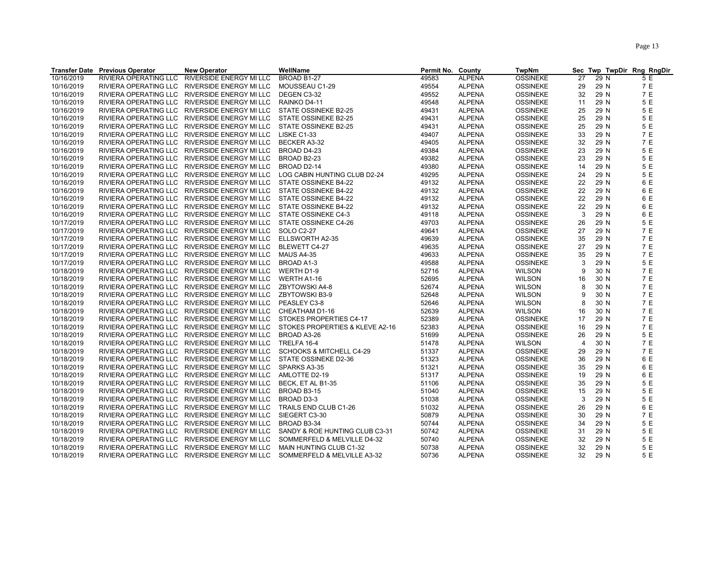|            | <b>Transfer Date Previous Operator</b> | <b>New Operator</b>                           | WellName                            | Permit No. County |               | <b>TwpNm</b>    |                | Sec Twp TwpDir Rng RngDir |     |
|------------|----------------------------------------|-----------------------------------------------|-------------------------------------|-------------------|---------------|-----------------|----------------|---------------------------|-----|
| 10/16/2019 | RIVIERA OPERATING LLC                  | RIVERSIDE ENERGY MI LLC                       | BROAD B1-27                         | 49583             | <b>ALPENA</b> | <b>OSSINEKE</b> | 27             | 29 N                      | 5 E |
| 10/16/2019 | RIVIERA OPERATING LLC                  | RIVERSIDE ENERGY MI LLC                       | MOUSSEAU C1-29                      | 49554             | <b>ALPENA</b> | <b>OSSINEKE</b> | 29             | 29 N                      | 7 E |
| 10/16/2019 | RIVIERA OPERATING LLC                  | RIVERSIDE ENERGY MI LLC                       | DEGEN C3-32                         | 49552             | <b>ALPENA</b> | <b>OSSINEKE</b> | 32             | 29 N                      | 7 E |
| 10/16/2019 | RIVIERA OPERATING LLC                  | RIVERSIDE ENERGY MI LLC                       | RAINKO D4-11                        | 49548             | <b>ALPENA</b> | <b>OSSINEKE</b> | 11             | 29 N                      | 5 E |
| 10/16/2019 | RIVIERA OPERATING LLC                  | RIVERSIDE ENERGY MI LLC                       | STATE OSSINEKE B2-25                | 49431             | <b>ALPENA</b> | <b>OSSINEKE</b> | 25             | 29 N                      | 5 E |
| 10/16/2019 |                                        | RIVIERA OPERATING LLC RIVERSIDE ENERGY MI LLC | STATE OSSINEKE B2-25                | 49431             | <b>ALPENA</b> | <b>OSSINEKE</b> | 25             | 29 N                      | 5 E |
| 10/16/2019 | RIVIERA OPERATING LLC                  | RIVERSIDE ENERGY MI LLC                       | STATE OSSINEKE B2-25                | 49431             | <b>ALPENA</b> | <b>OSSINEKE</b> | 25             | 29 N                      | 5 E |
| 10/16/2019 |                                        | RIVIERA OPERATING LLC RIVERSIDE ENERGY MI LLC | LISKE C1-33                         | 49407             | <b>ALPENA</b> | <b>OSSINEKE</b> | 33             | 29 N                      | 7 E |
| 10/16/2019 | <b>RIVIERA OPERATING LLC</b>           | RIVERSIDE ENERGY MI LLC                       | BECKER A3-32                        | 49405             | <b>ALPENA</b> | <b>OSSINEKE</b> | 32             | 29 N                      | 7E  |
| 10/16/2019 |                                        | RIVIERA OPERATING LLC RIVERSIDE ENERGY MI LLC | BROAD D4-23                         | 49384             | <b>ALPENA</b> | <b>OSSINEKE</b> | 23             | 29 N                      | 5 E |
| 10/16/2019 |                                        | RIVIERA OPERATING LLC RIVERSIDE ENERGY MI LLC | BROAD B2-23                         | 49382             | <b>ALPENA</b> | <b>OSSINEKE</b> | 23             | 29 N                      | 5 E |
| 10/16/2019 |                                        | RIVIERA OPERATING LLC RIVERSIDE ENERGY MI LLC | BROAD D2-14                         | 49380             | <b>ALPENA</b> | <b>OSSINEKE</b> | 14             | 29 N                      | 5 E |
| 10/16/2019 |                                        | RIVIERA OPERATING LLC RIVERSIDE ENERGY MI LLC | LOG CABIN HUNTING CLUB D2-24        | 49295             | <b>ALPENA</b> | <b>OSSINEKE</b> | 24             | 29 N                      | 5 E |
| 10/16/2019 |                                        | RIVIERA OPERATING LLC RIVERSIDE ENERGY MI LLC | STATE OSSINEKE B4-22                | 49132             | <b>ALPENA</b> | <b>OSSINEKE</b> | 22             | 29 N                      | 6 E |
| 10/16/2019 | RIVIERA OPERATING LLC                  | RIVERSIDE ENERGY MI LLC                       | STATE OSSINEKE B4-22                | 49132             | <b>ALPENA</b> | <b>OSSINEKE</b> | 22             | 29 N                      | 6 E |
| 10/16/2019 |                                        | RIVIERA OPERATING LLC RIVERSIDE ENERGY MI LLC | STATE OSSINEKE B4-22                | 49132             | <b>ALPENA</b> | <b>OSSINEKE</b> | 22             | 29 N                      | 6 E |
| 10/16/2019 |                                        | RIVIERA OPERATING LLC RIVERSIDE ENERGY MI LLC | STATE OSSINEKE B4-22                | 49132             | <b>ALPENA</b> | <b>OSSINEKE</b> | 22             | 29 N                      | 6 E |
| 10/16/2019 |                                        | RIVIERA OPERATING LLC RIVERSIDE ENERGY MI LLC | STATE OSSINEKE C4-3                 | 49118             | <b>ALPENA</b> | <b>OSSINEKE</b> | 3              | 29 N                      | 6 E |
| 10/17/2019 |                                        | RIVIERA OPERATING LLC RIVERSIDE ENERGY MI LLC | STATE OSSINEKE C4-26                | 49703             | <b>ALPENA</b> | <b>OSSINEKE</b> | 26             | 29 N                      | 5 E |
| 10/17/2019 |                                        | RIVIERA OPERATING LLC RIVERSIDE ENERGY MI LLC | SOLO C2-27                          | 49641             | <b>ALPENA</b> | <b>OSSINEKE</b> | 27             | 29 N                      | 7 E |
| 10/17/2019 |                                        | RIVIERA OPERATING LLC RIVERSIDE ENERGY MI LLC | ELLSWORTH A2-35                     | 49639             | <b>ALPENA</b> | <b>OSSINEKE</b> | 35             | 29 N                      | 7 E |
| 10/17/2019 |                                        | RIVIERA OPERATING LLC RIVERSIDE ENERGY MI LLC | <b>BLEWETT C4-27</b>                | 49635             | <b>ALPENA</b> | <b>OSSINEKE</b> | 27             | 29 N                      | 7 E |
| 10/17/2019 |                                        | RIVIERA OPERATING LLC RIVERSIDE ENERGY MI LLC | MAUS A4-35                          | 49633             | <b>ALPENA</b> | <b>OSSINEKE</b> | 35             | 29 N                      | 7 E |
| 10/17/2019 |                                        | RIVIERA OPERATING LLC RIVERSIDE ENERGY MI LLC | BROAD A1-3                          | 49588             | <b>ALPENA</b> | <b>OSSINEKE</b> | 3              | 29 N                      | 5 E |
| 10/18/2019 |                                        | RIVIERA OPERATING LLC RIVERSIDE ENERGY MI LLC | WERTH D1-9                          | 52716             | <b>ALPENA</b> | <b>WILSON</b>   | 9              | 30 N                      | 7 E |
| 10/18/2019 |                                        | RIVIERA OPERATING LLC RIVERSIDE ENERGY MI LLC | WERTH A1-16                         | 52695             | <b>ALPENA</b> | <b>WILSON</b>   | 16             | 30 N                      | 7 E |
| 10/18/2019 |                                        | RIVIERA OPERATING LLC RIVERSIDE ENERGY MI LLC | ZBYTOWSKI A4-8                      | 52674             | <b>ALPENA</b> | <b>WILSON</b>   | 8              | 30 N                      | 7 E |
| 10/18/2019 |                                        | RIVIERA OPERATING LLC RIVERSIDE ENERGY MI LLC | <b>ZBYTOWSKI B3-9</b>               | 52648             | <b>ALPENA</b> | <b>WILSON</b>   | 9              | 30 N                      | 7 E |
| 10/18/2019 |                                        | RIVIERA OPERATING LLC RIVERSIDE ENERGY MI LLC | PEASLEY C3-8                        | 52646             | <b>ALPENA</b> | <b>WILSON</b>   | 8              | 30 N                      | 7 E |
| 10/18/2019 |                                        | RIVIERA OPERATING LLC RIVERSIDE ENERGY MI LLC | CHEATHAM D1-16                      | 52639             | <b>ALPENA</b> | <b>WILSON</b>   | 16             | 30 N                      | 7 E |
| 10/18/2019 |                                        | RIVIERA OPERATING LLC RIVERSIDE ENERGY MI LLC | STOKES PROPERTIES C4-17             | 52389             | <b>ALPENA</b> | <b>OSSINEKE</b> | 17             | 29 N                      | 7 E |
| 10/18/2019 | RIVIERA OPERATING LLC                  | RIVERSIDE ENERGY MI LLC                       | STOKES PROPERTIES & KLEVE A2-16     | 52383             | <b>ALPENA</b> | <b>OSSINEKE</b> | 16             | 29 N                      | 7 E |
| 10/18/2019 |                                        | RIVIERA OPERATING LLC RIVERSIDE ENERGY MI LLC | BROAD A3-26                         | 51699             | <b>ALPENA</b> | <b>OSSINEKE</b> | 26             | 29 N                      | 5 E |
| 10/18/2019 | RIVIERA OPERATING LLC                  | RIVERSIDE ENERGY MI LLC                       | TRELFA 16-4                         | 51478             | <b>ALPENA</b> | <b>WILSON</b>   | $\overline{4}$ | 30 N                      | 7 E |
| 10/18/2019 |                                        | RIVIERA OPERATING LLC RIVERSIDE ENERGY MI LLC | <b>SCHOOKS &amp; MITCHELL C4-29</b> | 51337             | <b>ALPENA</b> | <b>OSSINEKE</b> | 29             | 29 N                      | 7 E |
| 10/18/2019 |                                        | RIVIERA OPERATING LLC RIVERSIDE ENERGY MI LLC | STATE OSSINEKE D2-36                | 51323             | <b>ALPENA</b> | <b>OSSINEKE</b> | 36             | 29 N                      | 6 E |
| 10/18/2019 |                                        | RIVIERA OPERATING LLC RIVERSIDE ENERGY MI LLC | SPARKS A3-35                        | 51321             | <b>ALPENA</b> | <b>OSSINEKE</b> | 35             | 29 N                      | 6 E |
| 10/18/2019 | RIVIERA OPERATING LLC                  | RIVERSIDE ENERGY MI LLC                       | AMLOTTE D2-19                       | 51317             | <b>ALPENA</b> | <b>OSSINEKE</b> | 19             | 29 N                      | 6 E |
| 10/18/2019 |                                        | RIVIERA OPERATING LLC RIVERSIDE ENERGY MI LLC | BECK, ET AL B1-35                   | 51106             | <b>ALPENA</b> | <b>OSSINEKE</b> | 35             | 29 N                      | 5 E |
| 10/18/2019 | RIVIERA OPERATING LLC                  | RIVERSIDE ENERGY MI LLC                       | BROAD B3-15                         | 51040             | <b>ALPENA</b> | <b>OSSINEKE</b> | 15             | 29 N                      | 5 E |
| 10/18/2019 |                                        | RIVIERA OPERATING LLC RIVERSIDE ENERGY MI LLC | BROAD D3-3                          | 51038             | <b>ALPENA</b> | <b>OSSINEKE</b> | 3              | 29 N                      | 5 E |
| 10/18/2019 |                                        | RIVIERA OPERATING LLC RIVERSIDE ENERGY MI LLC | TRAILS END CLUB C1-26               | 51032             | <b>ALPENA</b> | <b>OSSINEKE</b> | 26             | 29 N                      | 6 E |
| 10/18/2019 |                                        | RIVIERA OPERATING LLC RIVERSIDE ENERGY MI LLC | SIEGERT C3-30                       | 50879             | <b>ALPENA</b> | <b>OSSINEKE</b> | 30             | 29 N                      | 7 E |
| 10/18/2019 |                                        | RIVIERA OPERATING LLC RIVERSIDE ENERGY MI LLC | BROAD B3-34                         | 50744             | <b>ALPENA</b> | <b>OSSINEKE</b> | 34             | 29 N                      | 5 E |
| 10/18/2019 |                                        | RIVIERA OPERATING LLC RIVERSIDE ENERGY MI LLC | SANDY & ROE HUNTING CLUB C3-31      | 50742             | <b>ALPENA</b> | <b>OSSINEKE</b> | 31             | 29 N                      | 5 E |
| 10/18/2019 | RIVIERA OPERATING LLC                  | RIVERSIDE ENERGY MI LLC                       | SOMMERFELD & MELVILLE D4-32         | 50740             | <b>ALPENA</b> | <b>OSSINEKE</b> | 32             | 29 N                      | 5 E |
| 10/18/2019 |                                        | RIVIERA OPERATING LLC RIVERSIDE ENERGY MI LLC | MAIN HUNTING CLUB C1-32             | 50738             | <b>ALPENA</b> | <b>OSSINEKE</b> | 32             | 29 N                      | 5 E |
|            |                                        |                                               |                                     | 50736             |               |                 |                |                           | 5 E |
| 10/18/2019 |                                        | RIVIERA OPERATING LLC RIVERSIDE ENERGY MI LLC | SOMMERFELD & MELVILLE A3-32         |                   | <b>ALPENA</b> | <b>OSSINEKE</b> | 32             | 29 N                      |     |